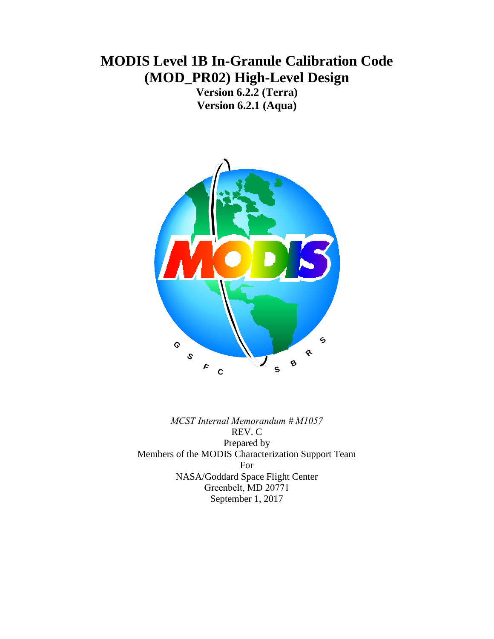# **MODIS Level 1B In-Granule Calibration Code (MOD\_PR02) High-Level Design**

**Version 6.2.2 (Terra) Version 6.2.1 (Aqua)**



*MCST Internal Memorandum # M1057* REV. C Prepared by Members of the MODIS Characterization Support Team For NASA/Goddard Space Flight Center Greenbelt, MD 20771 September 1, 2017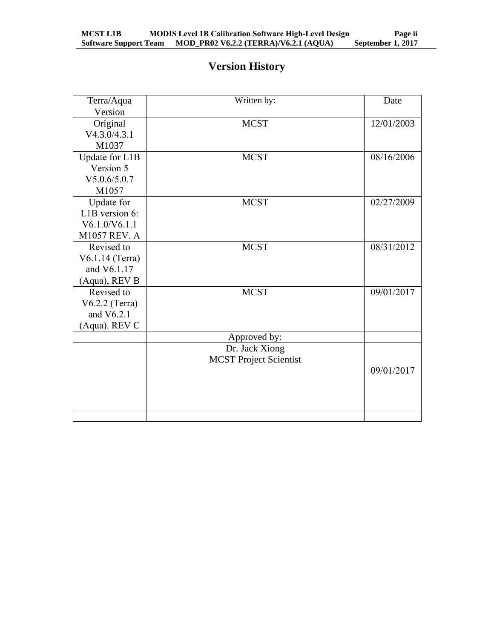# **Version History**

| Terra/Aqua                   | Written by:                   | Date       |
|------------------------------|-------------------------------|------------|
| Version                      |                               |            |
| Original                     | <b>MCST</b>                   | 12/01/2003 |
| V4.3.0/4.3.1                 |                               |            |
| M1037                        |                               |            |
| $\overline{U}$ pdate for L1B | <b>MCST</b>                   | 08/16/2006 |
| Version 5                    |                               |            |
| V5.0.6/5.0.7                 |                               |            |
| M1057                        |                               |            |
| Update for                   | <b>MCST</b>                   | 02/27/2009 |
| L1B version 6:               |                               |            |
| V6.1.0/V6.1.1                |                               |            |
| M1057 REV. A                 |                               |            |
| Revised to                   | <b>MCST</b>                   | 08/31/2012 |
| V6.1.14 (Terra)              |                               |            |
| and V6.1.17                  |                               |            |
| (Aqua), REV B                |                               |            |
| Revised to                   | <b>MCST</b>                   | 09/01/2017 |
| $V6.2.2$ (Terra)             |                               |            |
| and $V6.2.1$                 |                               |            |
| (Aqua). REV C                |                               |            |
|                              | Approved by:                  |            |
|                              | Dr. Jack Xiong                |            |
|                              | <b>MCST Project Scientist</b> |            |
|                              |                               | 09/01/2017 |
|                              |                               |            |
|                              |                               |            |
|                              |                               |            |
|                              |                               |            |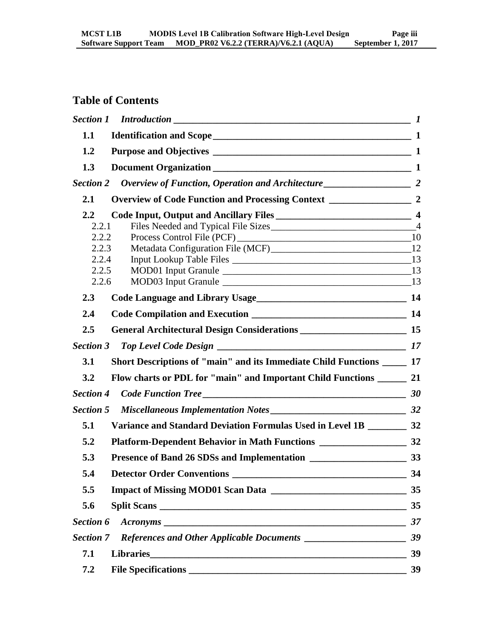# **Table of Contents**

| 1.1              |                                                                          |    |
|------------------|--------------------------------------------------------------------------|----|
| 1.2              |                                                                          |    |
| 1.3              |                                                                          |    |
| <b>Section 2</b> |                                                                          |    |
| 2.1              |                                                                          |    |
| $2.2\,$          |                                                                          |    |
| 2.2.1            |                                                                          |    |
| 2.2.2            |                                                                          |    |
| 2.2.3<br>2.2.4   |                                                                          |    |
| 2.2.5            |                                                                          |    |
| 2.2.6            |                                                                          |    |
| 2.3              | Code Language and Library Usage<br>14                                    |    |
| 2.4              |                                                                          |    |
| 2.5              |                                                                          |    |
| <b>Section 3</b> |                                                                          |    |
| 3.1              | Short Descriptions of "main" and its Immediate Child Functions ______ 17 |    |
| 3.2              | Flow charts or PDL for "main" and Important Child Functions ________ 21  |    |
| <b>Section 4</b> |                                                                          |    |
| <b>Section 5</b> |                                                                          |    |
| 5.1              | Variance and Standard Deviation Formulas Used in Level 1B ________ 32    |    |
| 5.2              |                                                                          |    |
| 5.3              |                                                                          |    |
| 5.4              | <b>Detector Order Conventions</b>                                        | 34 |
| 5.5              | Impact of Missing MOD01 Scan Data 2012 2020 10:00:00 35                  |    |
| 5.6              |                                                                          | 35 |
| Section 6        | $Acoronyms$ 37                                                           |    |
| <b>Section 7</b> |                                                                          |    |
| 7.1              |                                                                          | 39 |
| 7.2              |                                                                          | 39 |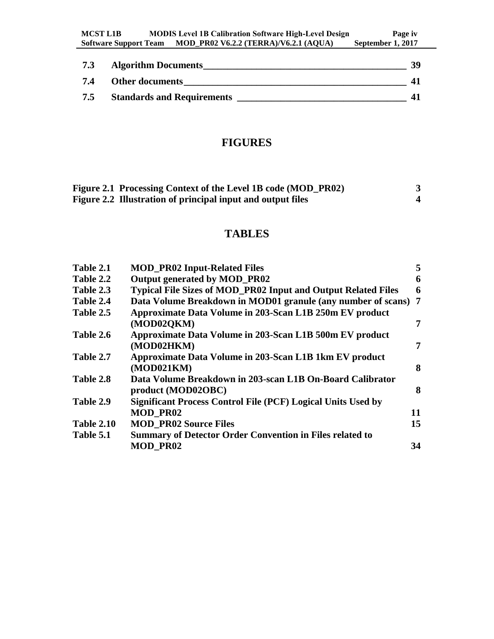| 7.3 | <b>Algorithm Documents</b>        | 39 |
|-----|-----------------------------------|----|
| 7.4 | <b>Other documents</b>            |    |
| 7.5 | <b>Standards and Requirements</b> |    |

# **FIGURES**

| Figure 2.1 Processing Context of the Level 1B code (MOD_PR02) |  |
|---------------------------------------------------------------|--|
| Figure 2.2 Illustration of principal input and output files   |  |

# **TABLES**

| Table 2.1         | <b>MOD_PR02 Input-Related Files</b>                                  | 5  |
|-------------------|----------------------------------------------------------------------|----|
| Table 2.2         | Output generated by MOD_PR02                                         | 6  |
| Table 2.3         | <b>Typical File Sizes of MOD_PR02 Input and Output Related Files</b> | 6  |
| Table 2.4         | Data Volume Breakdown in MOD01 granule (any number of scans) 7       |    |
| Table 2.5         | Approximate Data Volume in 203-Scan L1B 250m EV product              |    |
|                   | (MOD02QKM)                                                           | 7  |
| Table 2.6         | Approximate Data Volume in 203-Scan L1B 500m EV product              |    |
|                   | (MOD02HKM)                                                           | 7  |
| Table 2.7         | Approximate Data Volume in 203-Scan L1B 1km EV product               |    |
|                   | (MOD021KM)                                                           | 8  |
| Table 2.8         | Data Volume Breakdown in 203-scan L1B On-Board Calibrator            |    |
|                   | product (MOD02OBC)                                                   | 8  |
| Table 2.9         | <b>Significant Process Control File (PCF) Logical Units Used by</b>  |    |
|                   | <b>MOD PR02</b>                                                      | 11 |
| <b>Table 2.10</b> | <b>MOD_PR02 Source Files</b>                                         | 15 |
| Table 5.1         | <b>Summary of Detector Order Convention in Files related to</b>      |    |
|                   | <b>MOD PR02</b>                                                      | 34 |
|                   |                                                                      |    |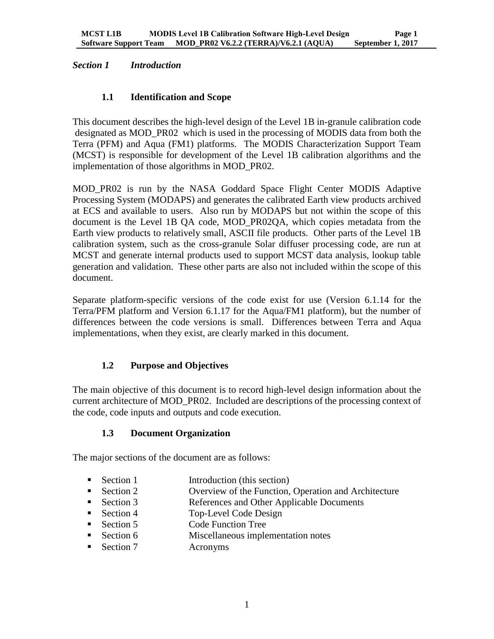# <span id="page-4-1"></span><span id="page-4-0"></span>*Section 1 Introduction*

# **1.1 Identification and Scope**

This document describes the high-level design of the Level 1B in-granule calibration code designated as MOD\_PR02 which is used in the processing of MODIS data from both the Terra (PFM) and Aqua (FM1) platforms. The MODIS Characterization Support Team (MCST) is responsible for development of the Level 1B calibration algorithms and the implementation of those algorithms in MOD\_PR02.

MOD\_PR02 is run by the NASA Goddard Space Flight Center MODIS Adaptive Processing System (MODAPS) and generates the calibrated Earth view products archived at ECS and available to users. Also run by MODAPS but not within the scope of this document is the Level 1B QA code, MOD\_PR02QA, which copies metadata from the Earth view products to relatively small, ASCII file products. Other parts of the Level 1B calibration system, such as the cross-granule Solar diffuser processing code, are run at MCST and generate internal products used to support MCST data analysis, lookup table generation and validation. These other parts are also not included within the scope of this document.

Separate platform-specific versions of the code exist for use (Version 6.1.14 for the Terra/PFM platform and Version 6.1.17 for the Aqua/FM1 platform), but the number of differences between the code versions is small. Differences between Terra and Aqua implementations, when they exist, are clearly marked in this document.

# <span id="page-4-2"></span>**1.2 Purpose and Objectives**

<span id="page-4-3"></span>The main objective of this document is to record high-level design information about the current architecture of MOD PR02. Included are descriptions of the processing context of the code, code inputs and outputs and code execution.

# **1.3 Document Organization**

The major sections of the document are as follows:

- Section 1 Introduction (this section)
- Section 2 Overview of the Function, Operation and Architecture
- Section 3 References and Other Applicable Documents
- Section 4 Top-Level Code Design
- Section 5 Code Function Tree
- Section 6 Miscellaneous implementation notes
- Section 7 Acronyms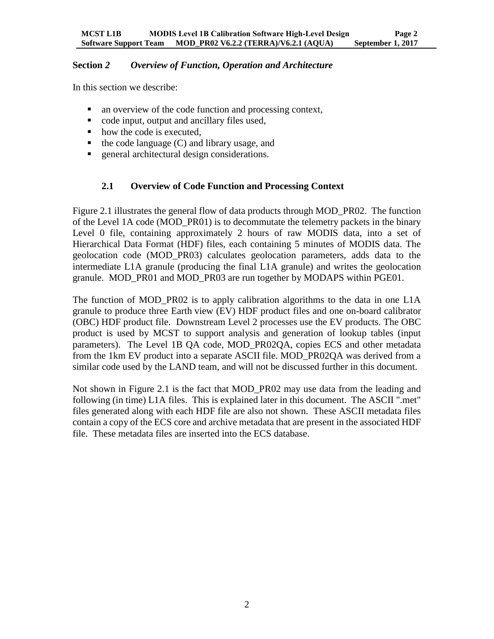#### <span id="page-5-0"></span>**Section** *2 Overview of Function, Operation and Architecture*

In this section we describe:

- an overview of the code function and processing context,
- code input, output and ancillary files used.
- how the code is executed,
- $\blacksquare$  the code language (C) and library usage, and
- <span id="page-5-1"></span>**EXECUTE:** See architectural design considerations.

# **2.1 Overview of Code Function and Processing Context**

Figure 2.1 illustrates the general flow of data products through MOD\_PR02. The function of the Level 1A code (MOD\_PR01) is to decommutate the telemetry packets in the binary Level 0 file, containing approximately 2 hours of raw MODIS data, into a set of Hierarchical Data Format (HDF) files, each containing 5 minutes of MODIS data. The geolocation code (MOD\_PR03) calculates geolocation parameters, adds data to the intermediate L1A granule (producing the final L1A granule) and writes the geolocation granule. MOD\_PR01 and MOD\_PR03 are run together by MODAPS within PGE01.

The function of MOD PR02 is to apply calibration algorithms to the data in one L1A granule to produce three Earth view (EV) HDF product files and one on-board calibrator (OBC) HDF product file. Downstream Level 2 processes use the EV products. The OBC product is used by MCST to support analysis and generation of lookup tables (input parameters). The Level 1B QA code, MOD\_PR02QA, copies ECS and other metadata from the 1km EV product into a separate ASCII file. MOD\_PR02QA was derived from a similar code used by the LAND team, and will not be discussed further in this document.

Not shown in Figure 2.1 is the fact that MOD\_PR02 may use data from the leading and following (in time) L1A files. This is explained later in this document. The ASCII ".met" files generated along with each HDF file are also not shown. These ASCII metadata files contain a copy of the ECS core and archive metadata that are present in the associated HDF file. These metadata files are inserted into the ECS database.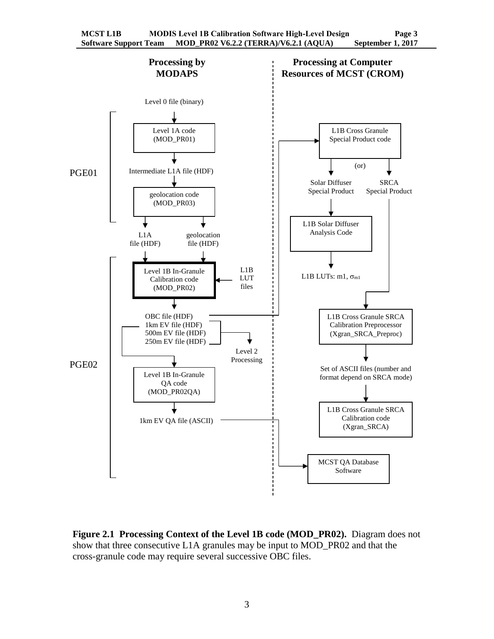

<span id="page-6-0"></span>**Figure 2.1 Processing Context of the Level 1B code (MOD\_PR02).** Diagram does not show that three consecutive L1A granules may be input to MOD\_PR02 and that the cross-granule code may require several successive OBC files.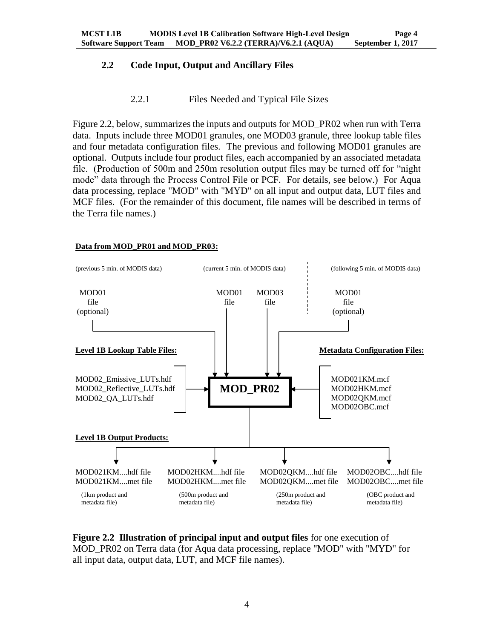# <span id="page-7-0"></span>**2.2 Code Input, Output and Ancillary Files**

#### 2.2.1 Files Needed and Typical File Sizes

<span id="page-7-1"></span>Figure 2.2, below, summarizes the inputs and outputs for MOD\_PR02 when run with Terra data. Inputs include three MOD01 granules, one MOD03 granule, three lookup table files and four metadata configuration files. The previous and following MOD01 granules are optional. Outputs include four product files, each accompanied by an associated metadata file. (Production of 500m and 250m resolution output files may be turned off for "night mode" data through the Process Control File or PCF. For details, see below.) For Aqua data processing, replace "MOD" with "MYD" on all input and output data, LUT files and MCF files. (For the remainder of this document, file names will be described in terms of the Terra file names.)

#### **Data from MOD\_PR01 and MOD\_PR03:**



<span id="page-7-2"></span>**Figure 2.2 Illustration of principal input and output files** for one execution of MOD\_PR02 on Terra data (for Aqua data processing, replace "MOD" with "MYD" for all input data, output data, LUT, and MCF file names).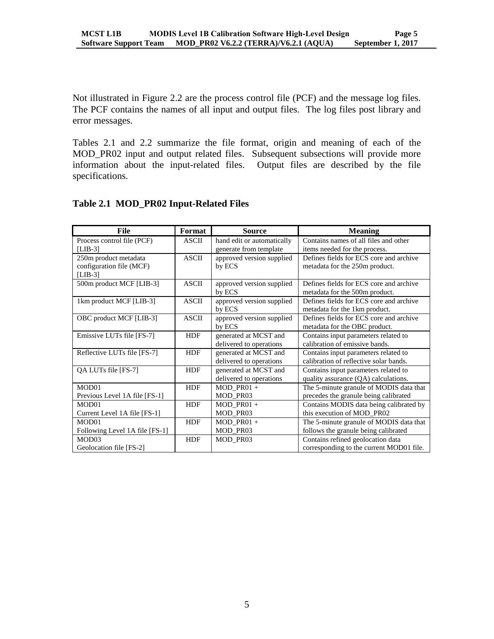Not illustrated in Figure 2.2 are the process control file (PCF) and the message log files. The PCF contains the names of all input and output files. The log files post library and error messages.

Tables 2.1 and 2.2 summarize the file format, origin and meaning of each of the MOD\_PR02 input and output related files. Subsequent subsections will provide more information about the input-related files. Output files are described by the file specifications.

| File                           | Format       | <b>Source</b>              | <b>Meaning</b>                           |
|--------------------------------|--------------|----------------------------|------------------------------------------|
| Process control file (PCF)     | <b>ASCII</b> | hand edit or automatically | Contains names of all files and other    |
| $[LIB-3]$                      |              | generate from template     | items needed for the process.            |
| 250m product metadata          | <b>ASCII</b> | approved version supplied  | Defines fields for ECS core and archive  |
| configuration file (MCF)       |              | by ECS                     | metadata for the 250m product.           |
| $[LIB-3]$                      |              |                            |                                          |
| 500m product MCF [LIB-3]       | <b>ASCII</b> | approved version supplied  | Defines fields for ECS core and archive  |
|                                |              | by ECS                     | metadata for the 500m product.           |
| 1km product MCF [LIB-3]        | <b>ASCII</b> | approved version supplied  | Defines fields for ECS core and archive  |
|                                |              | by ECS                     | metadata for the 1 km product.           |
| OBC product MCF [LIB-3]        | <b>ASCII</b> | approved version supplied  | Defines fields for ECS core and archive  |
|                                |              | by ECS                     | metadata for the OBC product.            |
| Emissive LUTs file [FS-7]      | <b>HDF</b>   | generated at MCST and      | Contains input parameters related to     |
|                                |              | delivered to operations    | calibration of emissive bands.           |
| Reflective LUTs file [FS-7]    | <b>HDF</b>   | generated at MCST and      | Contains input parameters related to     |
|                                |              | delivered to operations    | calibration of reflective solar bands.   |
| QA LUTs file [FS-7]            | <b>HDF</b>   | generated at MCST and      | Contains input parameters related to     |
|                                |              | delivered to operations    | quality assurance (QA) calculations.     |
| MOD01                          | <b>HDF</b>   | $MOD PR01 +$               | The 5-minute granule of MODIS data that  |
| Previous Level 1A file [FS-1]  |              | MOD_PR03                   | precedes the granule being calibrated    |
| MOD <sub>01</sub>              | <b>HDF</b>   | $MOD PR01 +$               | Contains MODIS data being calibrated by  |
| Current Level 1A file [FS-1]   |              | MOD_PR03                   | this execution of MOD PR02               |
| MOD01                          | <b>HDF</b>   | $MOD$ PR01 +               | The 5-minute granule of MODIS data that  |
| Following Level 1A file [FS-1] |              | MOD_PR03                   | follows the granule being calibrated     |
| MOD <sub>03</sub>              | <b>HDF</b>   | MOD PR03                   | Contains refined geolocation data        |
| Geolocation file [FS-2]        |              |                            | corresponding to the current MOD01 file. |

#### <span id="page-8-0"></span>**Table 2.1 MOD\_PR02 Input-Related Files**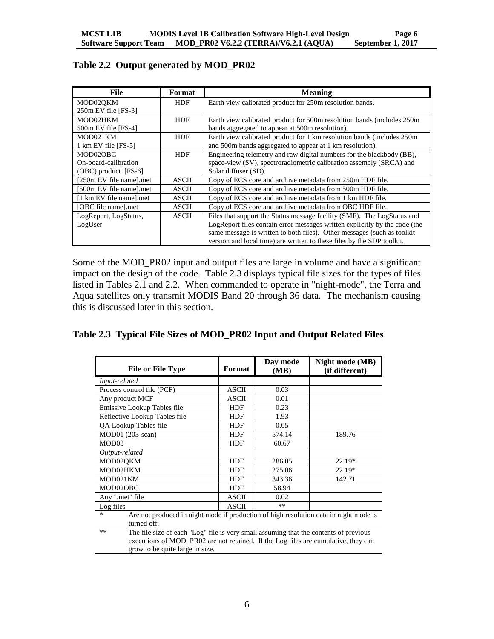| File                    | Format       | <b>Meaning</b>                                                             |
|-------------------------|--------------|----------------------------------------------------------------------------|
| MOD02OKM                | <b>HDF</b>   | Earth view calibrated product for 250m resolution bands.                   |
| $250m$ EV file [FS-3]   |              |                                                                            |
| MOD02HKM                | <b>HDF</b>   | Earth view calibrated product for 500m resolution bands (includes 250m)    |
| $500m$ EV file [FS-4]   |              | bands aggregated to appear at 500m resolution).                            |
| MOD021KM                | <b>HDF</b>   | Earth view calibrated product for 1 km resolution bands (includes 250m     |
| 1 km EV file [FS-5]     |              | and 500m bands aggregated to appear at 1 km resolution).                   |
| MOD02OBC                | <b>HDF</b>   | Engineering telemetry and raw digital numbers for the blackbody (BB),      |
| On-board-calibration    |              | space-view (SV), spectroradiometric calibration assembly (SRCA) and        |
| $(OBC)$ product [FS-6]  |              | Solar diffuser (SD).                                                       |
| [250m EV file name].met | ASCII        | Copy of ECS core and archive metadata from 250m HDF file.                  |
| [500m EV file name].met | <b>ASCII</b> | Copy of ECS core and archive metadata from 500m HDF file.                  |
| [1 km EV file name].met | ASCII        | Copy of ECS core and archive metadata from 1 km HDF file.                  |
| [OBC file name].met     | <b>ASCII</b> | Copy of ECS core and archive metadata from OBC HDF file.                   |
| LogReport, LogStatus,   | ASCII        | Files that support the Status message facility (SMF). The LogStatus and    |
| LogUser                 |              | LogReport files contain error messages written explicitly by the code (the |
|                         |              | same message is written to both files). Other messages (such as toolkit    |
|                         |              | version and local time) are written to these files by the SDP toolkit.     |

# <span id="page-9-0"></span>**Table 2.2 Output generated by MOD\_PR02**

Some of the MOD\_PR02 input and output files are large in volume and have a significant impact on the design of the code. Table 2.3 displays typical file sizes for the types of files listed in Tables 2.1 and 2.2. When commanded to operate in "night-mode", the Terra and Aqua satellites only transmit MODIS Band 20 through 36 data. The mechanism causing this is discussed later in this section.

<span id="page-9-1"></span>

|  |  |  |  | Table 2.3 Typical File Sizes of MOD_PR02 Input and Output Related Files |
|--|--|--|--|-------------------------------------------------------------------------|
|--|--|--|--|-------------------------------------------------------------------------|

| <b>File or File Type</b>                                                                                                                                                                                             | Format       | Day mode<br>(MB) | Night mode (MB)<br>(if different) |  |
|----------------------------------------------------------------------------------------------------------------------------------------------------------------------------------------------------------------------|--------------|------------------|-----------------------------------|--|
| Input-related                                                                                                                                                                                                        |              |                  |                                   |  |
| Process control file (PCF)                                                                                                                                                                                           | ASCII        | 0.03             |                                   |  |
| Any product MCF                                                                                                                                                                                                      | <b>ASCII</b> | 0.01             |                                   |  |
| Emissive Lookup Tables file                                                                                                                                                                                          | <b>HDF</b>   | 0.23             |                                   |  |
| Reflective Lookup Tables file                                                                                                                                                                                        | <b>HDF</b>   | 1.93             |                                   |  |
| QA Lookup Tables file                                                                                                                                                                                                | <b>HDF</b>   | 0.05             |                                   |  |
| MOD01 (203-scan)                                                                                                                                                                                                     | <b>HDF</b>   | 574.14           | 189.76                            |  |
| MOD03                                                                                                                                                                                                                | <b>HDF</b>   | 60.67            |                                   |  |
| Output-related                                                                                                                                                                                                       |              |                  |                                   |  |
| MOD02QKM                                                                                                                                                                                                             | <b>HDF</b>   | 286.05           | 22.19*                            |  |
| MOD02HKM                                                                                                                                                                                                             | <b>HDF</b>   | 275.06           | $22.19*$                          |  |
| MOD021KM                                                                                                                                                                                                             | <b>HDF</b>   | 343.36           | 142.71                            |  |
| MOD02OBC                                                                                                                                                                                                             | <b>HDF</b>   | 58.94            |                                   |  |
| Any ".met" file                                                                                                                                                                                                      | <b>ASCII</b> | 0.02             |                                   |  |
| Log files                                                                                                                                                                                                            | <b>ASCII</b> | $***$            |                                   |  |
| Are not produced in night mode if production of high resolution data in night mode is<br>$\ast$<br>turned off.                                                                                                       |              |                  |                                   |  |
| The file size of each "Log" file is very small assuming that the contents of previous<br>**<br>executions of MOD_PR02 are not retained. If the Log files are cumulative, they can<br>grow to be quite large in size. |              |                  |                                   |  |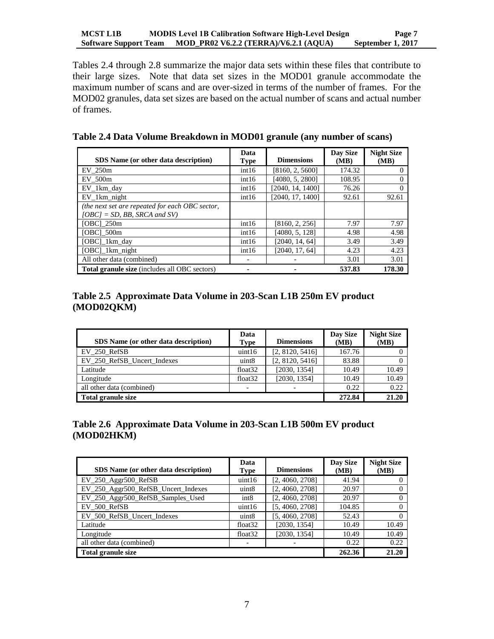Tables 2.4 through 2.8 summarize the major data sets within these files that contribute to their large sizes. Note that data set sizes in the MOD01 granule accommodate the maximum number of scans and are over-sized in terms of the number of frames. For the MOD02 granules, data set sizes are based on the actual number of scans and actual number of frames.

<span id="page-10-0"></span>

| Table 2.4 Data Volume Breakdown in MOD01 granule (any number of scans) |  |  |  |  |  |
|------------------------------------------------------------------------|--|--|--|--|--|
|------------------------------------------------------------------------|--|--|--|--|--|

| SDS Name (or other data description)                                               | Data<br><b>Type</b> | <b>Dimensions</b> | Day Size<br>(MB) | <b>Night Size</b><br>(MB) |
|------------------------------------------------------------------------------------|---------------------|-------------------|------------------|---------------------------|
| EV 250m                                                                            | int16               | [8160, 2, 5600]   | 174.32           | $\theta$                  |
| EV 500m                                                                            | int16               | [4080, 5, 2800]   | 108.95           | 0                         |
| EV 1km day                                                                         | int16               | [2040, 14, 1400]  | 76.26            | $\theta$                  |
| $EV_1$ km night                                                                    | int16               | [2040, 17, 1400]  | 92.61            | 92.61                     |
| (the next set are repeated for each OBC sector,<br>$[OBC] = SD$ , BB, SRCA and SV) |                     |                   |                  |                           |
| [OBC] 250m                                                                         | int16               | [8160, 2, 256]    | 7.97             | 7.97                      |
| [OBC] 500m                                                                         | int16               | [4080, 5, 128]    | 4.98             | 4.98                      |
| $[OBC]$ 1 km day                                                                   | int16               | [2040, 14, 64]    | 3.49             | 3.49                      |
| [OBC] 1km night                                                                    | int16               | [2040, 17, 64]    | 4.23             | 4.23                      |
| All other data (combined)                                                          |                     |                   | 3.01             | 3.01                      |
| Total granule size (includes all OBC sectors)                                      |                     |                   | 537.83           | 178.30                    |

#### <span id="page-10-1"></span>**Table 2.5 Approximate Data Volume in 203-Scan L1B 250m EV product (MOD02QKM)**

| SDS Name (or other data description) | Data<br><b>Type</b> | <b>Dimensions</b> | Day Size<br>(MB) | <b>Night Size</b><br>(MB) |
|--------------------------------------|---------------------|-------------------|------------------|---------------------------|
| EV 250 RefSB                         | uint16              | [2, 8120, 5416]   | 167.76           |                           |
| EV 250 RefSB Uncert Indexes          | uint <sub>8</sub>   | [2, 8120, 5416]   | 83.88            |                           |
| Latitude                             | float <sub>32</sub> | [2030, 1354]      | 10.49            | 10.49                     |
| Longitude                            | float $32$          | [2030, 1354]      | 10.49            | 10.49                     |
| all other data (combined)            |                     |                   | 0.22             | 0.22                      |
| Total granule size                   |                     |                   | 272.84           | 21.20                     |

# <span id="page-10-2"></span>**Table 2.6 Approximate Data Volume in 203-Scan L1B 500m EV product (MOD02HKM)**

| SDS Name (or other data description) | Data<br><b>Type</b> | <b>Dimensions</b> | Day Size<br>(MB) | <b>Night Size</b><br>(MB) |
|--------------------------------------|---------------------|-------------------|------------------|---------------------------|
| $EV_250$ Aggr $500$ RefSB            | uint16              | [2, 4060, 2708]   | 41.94            |                           |
| EV_250_Aggr500_RefSB_Uncert_Indexes  | uint <sub>8</sub>   | [2, 4060, 2708]   | 20.97            |                           |
| EV_250_Aggr500_RefSB_Samples_Used    | int8                | [2, 4060, 2708]   | 20.97            |                           |
| EV 500 RefSB                         | uint16              | [5, 4060, 2708]   | 104.85           | 0                         |
| EV_500 RefSB_Uncert_Indexes          | uint <sub>8</sub>   | [5, 4060, 2708]   | 52.43            |                           |
| Latitude                             | float <sub>32</sub> | [2030, 1354]      | 10.49            | 10.49                     |
| Longitude                            | float <sub>32</sub> | [2030, 1354]      | 10.49            | 10.49                     |
| all other data (combined)            |                     |                   | 0.22             | 0.22                      |
| <b>Total granule size</b>            |                     |                   | 262.36           | 21.20                     |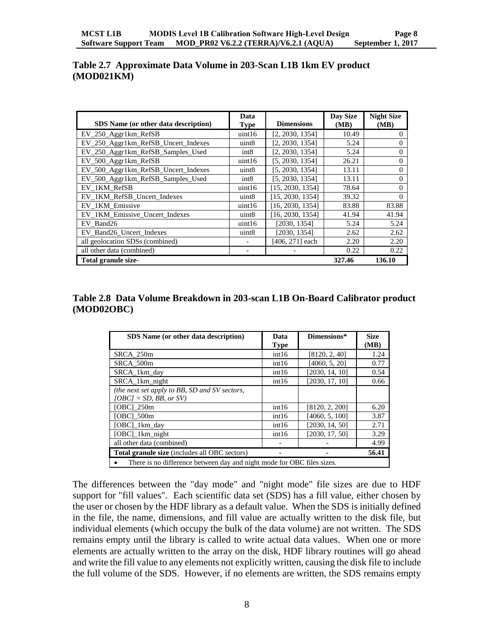<span id="page-11-0"></span>

|            | Table 2.7 Approximate Data Volume in 203-Scan L1B 1km EV product |  |  |  |
|------------|------------------------------------------------------------------|--|--|--|
| (MOD021KM) |                                                                  |  |  |  |

| SDS Name (or other data description) | Data<br><b>Type</b>      | <b>Dimensions</b> | Day Size<br>(MB) | <b>Night Size</b><br>(MB) |
|--------------------------------------|--------------------------|-------------------|------------------|---------------------------|
| EV_250_Aggr1km_RefSB                 | uint16                   | [2, 2030, 1354]   | 10.49            | $\theta$                  |
| EV_250_Aggr1km_RefSB_Uncert_Indexes  | uint <sub>8</sub>        | [2, 2030, 1354]   | 5.24             | $\Omega$                  |
| EV_250_Aggr1km_RefSB_Samples_Used    | int8                     | [2, 2030, 1354]   | 5.24             | $\Omega$                  |
| EV 500 Aggr1km RefSB                 | uint16                   | [5, 2030, 1354]   | 26.21            | $\Omega$                  |
| EV_500_Aggr1km_RefSB_Uncert_Indexes  | uint <sub>8</sub>        | [5, 2030, 1354]   | 13.11            | $\Omega$                  |
| EV_500_Aggr1km_RefSB_Samples_Used    | int8                     | [5, 2030, 1354]   | 13.11            | $\Omega$                  |
| EV_1KM_RefSB                         | uint16                   | [15, 2030, 1354]  | 78.64            | $\Omega$                  |
| EV 1KM RefSB Uncert Indexes          | uint <sub>8</sub>        | [15, 2030, 1354]  | 39.32            | $\Omega$                  |
| EV_1KM_Emissive                      | uint16                   | [16, 2030, 1354]  | 83.88            | 83.88                     |
| EV_1KM_Emissive_Uncert_Indexes       | uint <sub>8</sub>        | [16, 2030, 1354]  | 41.94            | 41.94                     |
| EV Band26                            | uint16                   | [2030, 1354]      | 5.24             | 5.24                      |
| EV Band26 Uncert Indexes             | uint <sub>8</sub>        | [2030, 1354]      | 2.62             | 2.62                      |
| all geolocation SDSs (combined)      | -                        | [406, 271] each   | 2.20             | 2.20                      |
| all other data (combined)            | $\overline{\phantom{a}}$ |                   | 0.22             | 0.22                      |
| Total granule size-                  |                          |                   | 327.46           | 136.10                    |

#### <span id="page-11-1"></span>**Table 2.8 Data Volume Breakdown in 203-scan L1B On-Board Calibrator product (MOD02OBC)**

| SDS Name (or other data description)                                   | Data        | Dimensions*    | <b>Size</b> |
|------------------------------------------------------------------------|-------------|----------------|-------------|
|                                                                        | <b>Type</b> |                | (MB)        |
| SRCA 250m                                                              | int16       | [8120, 2, 40]  | 1.24        |
| SRCA 500m                                                              | int16       | [4060, 5, 20]  | 0.77        |
| SRCA 1km day                                                           | int16       | [2030, 14, 10] | 0.54        |
| SRCA 1km night                                                         | int16       | [2030, 17, 10] | 0.66        |
| (the next set apply to BB, SD and SV sectors,                          |             |                |             |
| $[OBC] = SD$ , BB, or SV)                                              |             |                |             |
| [OBC] 250m                                                             | int16       | [8120, 2, 200] | 6.20        |
| [OBC] 500m                                                             | int16       | [4060, 5, 100] | 3.87        |
| [OBC] 1km day                                                          | int16       | [2030, 14, 50] | 2.71        |
| [OBC] 1km night                                                        | int16       | [2030, 17, 50] | 3.29        |
| all other data (combined)                                              |             |                | 4.99        |
| <b>Total granule size</b> (includes all OBC sectors)                   |             |                | 56.41       |
| There is no difference between day and night mode for OBC files sizes. |             |                |             |

The differences between the "day mode" and "night mode" file sizes are due to HDF support for "fill values". Each scientific data set (SDS) has a fill value, either chosen by the user or chosen by the HDF library as a default value. When the SDS is initially defined in the file, the name, dimensions, and fill value are actually written to the disk file, but individual elements (which occupy the bulk of the data volume) are not written. The SDS remains empty until the library is called to write actual data values. When one or more elements are actually written to the array on the disk, HDF library routines will go ahead and write the fill value to any elements not explicitly written, causing the disk file to include the full volume of the SDS. However, if no elements are written, the SDS remains empty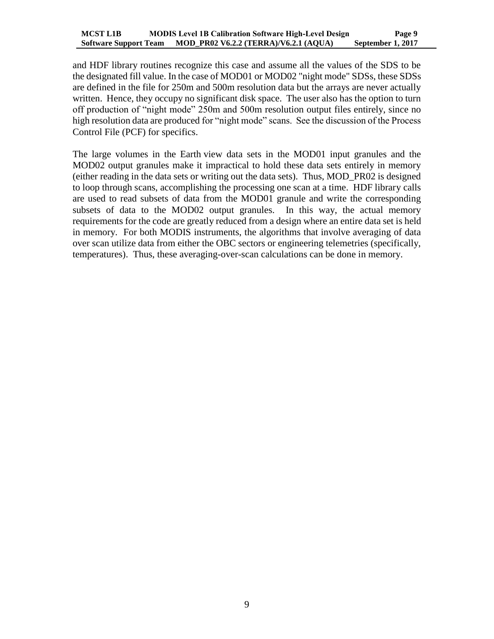and HDF library routines recognize this case and assume all the values of the SDS to be the designated fill value. In the case of MOD01 or MOD02 "night mode" SDSs, these SDSs are defined in the file for 250m and 500m resolution data but the arrays are never actually written. Hence, they occupy no significant disk space. The user also has the option to turn off production of "night mode" 250m and 500m resolution output files entirely, since no high resolution data are produced for "night mode" scans. See the discussion of the Process Control File (PCF) for specifics.

The large volumes in the Earth view data sets in the MOD01 input granules and the MOD02 output granules make it impractical to hold these data sets entirely in memory (either reading in the data sets or writing out the data sets). Thus, MOD\_PR02 is designed to loop through scans, accomplishing the processing one scan at a time. HDF library calls are used to read subsets of data from the MOD01 granule and write the corresponding subsets of data to the MOD02 output granules. In this way, the actual memory requirements for the code are greatly reduced from a design where an entire data set is held in memory. For both MODIS instruments, the algorithms that involve averaging of data over scan utilize data from either the OBC sectors or engineering telemetries (specifically, temperatures). Thus, these averaging-over-scan calculations can be done in memory.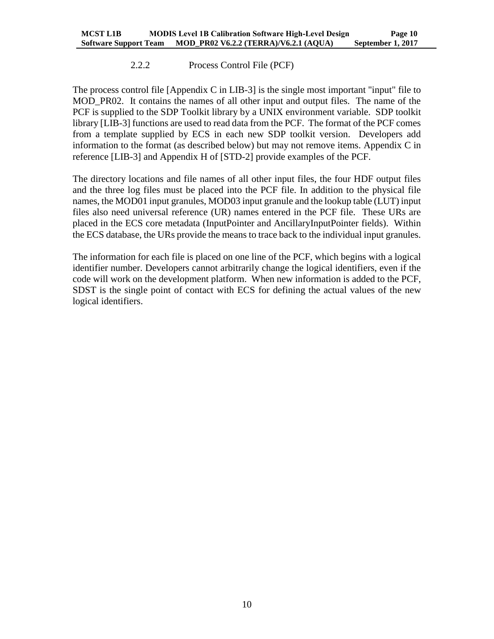#### 2.2.2 Process Control File (PCF)

<span id="page-13-0"></span>The process control file [Appendix C in LIB-3] is the single most important "input" file to MOD\_PR02. It contains the names of all other input and output files. The name of the PCF is supplied to the SDP Toolkit library by a UNIX environment variable. SDP toolkit library [LIB-3] functions are used to read data from the PCF. The format of the PCF comes from a template supplied by ECS in each new SDP toolkit version. Developers add information to the format (as described below) but may not remove items. Appendix C in reference [LIB-3] and Appendix H of [STD-2] provide examples of the PCF.

The directory locations and file names of all other input files, the four HDF output files and the three log files must be placed into the PCF file. In addition to the physical file names, the MOD01 input granules, MOD03 input granule and the lookup table (LUT) input files also need universal reference (UR) names entered in the PCF file. These URs are placed in the ECS core metadata (InputPointer and AncillaryInputPointer fields). Within the ECS database, the URs provide the means to trace back to the individual input granules.

The information for each file is placed on one line of the PCF, which begins with a logical identifier number. Developers cannot arbitrarily change the logical identifiers, even if the code will work on the development platform. When new information is added to the PCF, SDST is the single point of contact with ECS for defining the actual values of the new logical identifiers.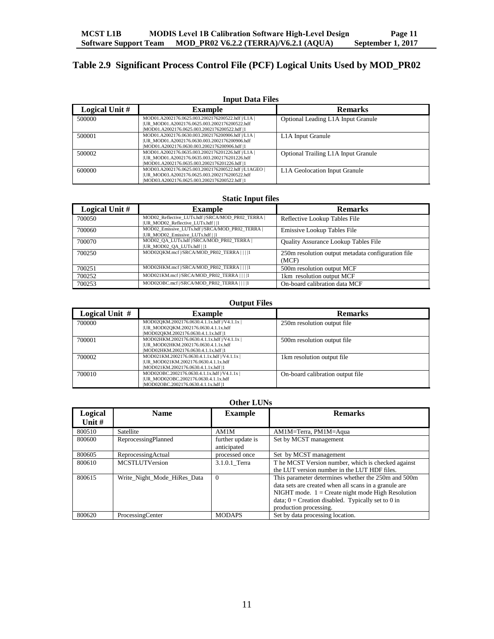# <span id="page-14-0"></span>**Table 2.9 Significant Process Control File (PCF) Logical Units Used by MOD\_PR02**

| <b>Input Data Files</b> |                                                                                                                                                        |                                     |  |
|-------------------------|--------------------------------------------------------------------------------------------------------------------------------------------------------|-------------------------------------|--|
| Logical Unit #          | <b>Example</b>                                                                                                                                         | <b>Remarks</b>                      |  |
| 500000                  | MOD01.A2002176.0625.003.2002176200522.hdf  /L1A  <br> UR_MOD01.A2002176.0625.003.2002176200522.hdf<br>IMOD01.A2002176.0625.003.2002176200522.hdf  1    | Optional Leading L1A Input Granule  |  |
| 500001                  | MOD01.A2002176.0630.003.2002176200906.hdf  /L1A  <br>IUR MOD01.A2002176.0630.003.2002176200906.hdf<br> MOD01.A2002176.0630.003.2002176200906.hdf  1    | L <sub>1</sub> A Input Granule      |  |
| 500002                  | MOD01.A2002176.0635.003.2002176201226.hdf  /L1A  <br>[UR_MOD01.A2002176.0635.003.2002176201226.hdf]<br>IMOD01.A2002176.0635.003.2002176201226.hdf  1   | Optional Trailing L1A Input Granule |  |
| 600000                  | MOD03.A2002176.0625.003.2002176200522.hdf  /L1AGEO  <br> UR_MOD03.A2002176.0625.003.2002176200522.hdf<br>IMOD03.A2002176.0625.003.2002176200522.hdf  1 | L1A Geolocation Input Granule       |  |

#### **Static Input files**

| Logical Unit # | <b>Example</b>                                                                          | <b>Remarks</b>                                              |
|----------------|-----------------------------------------------------------------------------------------|-------------------------------------------------------------|
| 700050         | MOD02 Reflective LUTs.hdf //SRCA/MOD PR02 TERRA  <br>[UR MOD02 Reflective LUTs.hdf    1 | Reflective Lookup Tables File                               |
| 700060         | MOD02 Emissive LUTs.hdf  /SRCA/MOD PR02 TERRA  <br> UR MOD02 Emissive LUTs.hdf    1     | Emissive Lookup Tables File                                 |
| 700070         | MOD02 QA LUTs.hdf  /SRCA/MOD PR02 TERRA  <br> UR MOD02 QA LUTs.hdf    1                 | <b>Ouality Assurance Lookup Tables File</b>                 |
| 700250         | MOD02QKM.mcf  /SRCA/MOD PR02 TERRA         1                                            | 250m resolution output metadata configuration file<br>(MCF) |
| 700251         | MOD02HKM.mcf  /SRCA/MOD PR02 TERRA         1                                            | 500m resolution output MCF                                  |
| 700252         | MOD021KM.mcf  /SRCA/MOD PR02 TERRA        1                                             | 1km resolution output MCF                                   |
| 700253         | MOD02OBC.mcf //SRCA/MOD PR02 TERRA         1                                            | On-board calibration data MCF                               |

#### **Output Files**

| Logical Unit # | <b>Example</b>                                                                                                               | <b>Remarks</b>                   |
|----------------|------------------------------------------------------------------------------------------------------------------------------|----------------------------------|
| 700000         | MOD02QKM.2002176.0630.4.1.1x.hdf  /V4.1.1x  <br> UR_MOD02QKM.2002176.0630.4.1.1x.hdf<br> MOD02QKM.2002176.0630.4.1.1x.hdf  1 | 250m resolution output file      |
| 700001         | MOD02HKM.2002176.0630.4.1.1x.hdf  /V4.1.1x  <br> UR_MOD02HKM.2002176.0630.4.1.1x.hdf<br> MOD02HKM.2002176.0630.4.1.1x.hdf  1 | 500m resolution output file      |
| 700002         | MOD021KM.2002176.0630.4.1.1x.hdf  /V4.1.1x  <br> UR_MOD021KM.2002176.0630.4.1.1x.hdf<br> MOD021KM.2002176.0630.4.1.1x.hdf  1 | 1 km resolution output file      |
| 700010         | MOD02OBC.2002176.0630.4.1.1x.hdf  /V4.1.1x  <br> UR_MOD02OBC.2002176.0630.4.1.1x.hdf<br>MOD02OBC.2002176.0630.4.1.1x.hdf  1  | On-board calibration output file |

#### **Other LUNs**

| Logical<br>Unit $#$ | <b>Name</b>                 | <b>Example</b>                   | <b>Remarks</b>                                                                                                                                                                                                                                        |
|---------------------|-----------------------------|----------------------------------|-------------------------------------------------------------------------------------------------------------------------------------------------------------------------------------------------------------------------------------------------------|
| 800510              | <b>Satellite</b>            | AM1M                             | AM1M=Terra, PM1M=Aqua                                                                                                                                                                                                                                 |
| 800600              | ReprocessingPlanned         | further update is<br>anticipated | Set by MCST management                                                                                                                                                                                                                                |
| 800605              | ReprocessingActual          | processed once                   | Set by MCST management                                                                                                                                                                                                                                |
| 800610              | <b>MCSTLUTVersion</b>       | 3.1.0.1 Terra                    | The MCST Version number, which is checked against<br>the LUT version number in the LUT HDF files.                                                                                                                                                     |
| 800615              | Write Night Mode HiRes Data | $\Omega$                         | This parameter determines whether the 250m and 500m<br>data sets are created when all scans in a granule are<br>NIGHT mode. $1 =$ Create night mode High Resolution<br>data; $0 =$ Creation disabled. Typically set to 0 in<br>production processing. |
| 800620              | ProcessingCenter            | <b>MODAPS</b>                    | Set by data processing location.                                                                                                                                                                                                                      |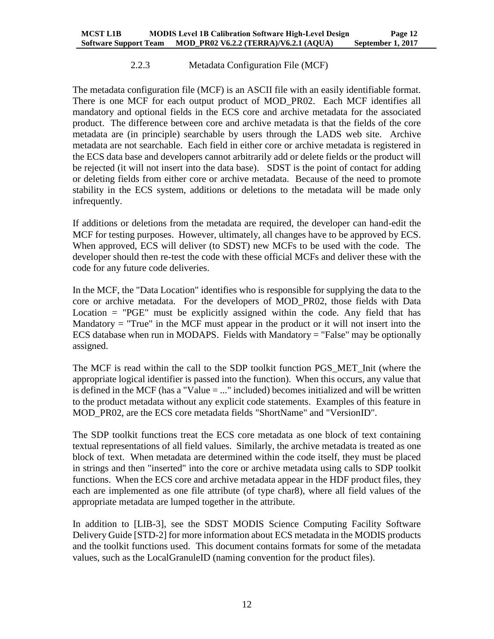#### 2.2.3 Metadata Configuration File (MCF)

<span id="page-15-0"></span>The metadata configuration file (MCF) is an ASCII file with an easily identifiable format. There is one MCF for each output product of MOD\_PR02. Each MCF identifies all mandatory and optional fields in the ECS core and archive metadata for the associated product. The difference between core and archive metadata is that the fields of the core metadata are (in principle) searchable by users through the LADS web site. Archive metadata are not searchable. Each field in either core or archive metadata is registered in the ECS data base and developers cannot arbitrarily add or delete fields or the product will be rejected (it will not insert into the data base). SDST is the point of contact for adding or deleting fields from either core or archive metadata. Because of the need to promote stability in the ECS system, additions or deletions to the metadata will be made only infrequently.

If additions or deletions from the metadata are required, the developer can hand-edit the MCF for testing purposes. However, ultimately, all changes have to be approved by ECS. When approved, ECS will deliver (to SDST) new MCFs to be used with the code. The developer should then re-test the code with these official MCFs and deliver these with the code for any future code deliveries.

In the MCF, the "Data Location" identifies who is responsible for supplying the data to the core or archive metadata. For the developers of MOD\_PR02, those fields with Data Location  $=$  "PGE" must be explicitly assigned within the code. Any field that has Mandatory  $=$  "True" in the MCF must appear in the product or it will not insert into the ECS database when run in MODAPS. Fields with Mandatory = "False" may be optionally assigned.

The MCF is read within the call to the SDP toolkit function PGS\_MET\_Init (where the appropriate logical identifier is passed into the function). When this occurs, any value that is defined in the MCF (has a "Value = ..." included) becomes initialized and will be written to the product metadata without any explicit code statements. Examples of this feature in MOD\_PR02, are the ECS core metadata fields "ShortName" and "VersionID".

The SDP toolkit functions treat the ECS core metadata as one block of text containing textual representations of all field values. Similarly, the archive metadata is treated as one block of text. When metadata are determined within the code itself, they must be placed in strings and then "inserted" into the core or archive metadata using calls to SDP toolkit functions. When the ECS core and archive metadata appear in the HDF product files, they each are implemented as one file attribute (of type char8), where all field values of the appropriate metadata are lumped together in the attribute.

In addition to [LIB-3], see the SDST MODIS Science Computing Facility Software Delivery Guide [STD-2] for more information about ECS metadata in the MODIS products and the toolkit functions used. This document contains formats for some of the metadata values, such as the LocalGranuleID (naming convention for the product files).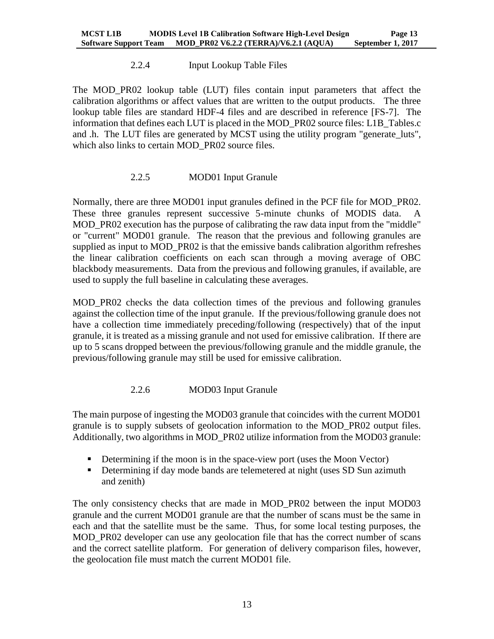# 2.2.4 Input Lookup Table Files

<span id="page-16-0"></span>The MOD\_PR02 lookup table (LUT) files contain input parameters that affect the calibration algorithms or affect values that are written to the output products. The three lookup table files are standard HDF-4 files and are described in reference [FS-7]. The information that defines each LUT is placed in the MOD\_PR02 source files: L1B\_Tables.c and .h. The LUT files are generated by MCST using the utility program "generate\_luts", which also links to certain MOD\_PR02 source files.

# 2.2.5 MOD01 Input Granule

<span id="page-16-1"></span>Normally, there are three MOD01 input granules defined in the PCF file for MOD\_PR02. These three granules represent successive 5-minute chunks of MODIS data. A MOD PR02 execution has the purpose of calibrating the raw data input from the "middle" or "current" MOD01 granule. The reason that the previous and following granules are supplied as input to MOD PR02 is that the emissive bands calibration algorithm refreshes the linear calibration coefficients on each scan through a moving average of OBC blackbody measurements. Data from the previous and following granules, if available, are used to supply the full baseline in calculating these averages.

MOD\_PR02 checks the data collection times of the previous and following granules against the collection time of the input granule. If the previous/following granule does not have a collection time immediately preceding/following (respectively) that of the input granule, it is treated as a missing granule and not used for emissive calibration. If there are up to 5 scans dropped between the previous/following granule and the middle granule, the previous/following granule may still be used for emissive calibration.

# 2.2.6 MOD03 Input Granule

<span id="page-16-2"></span>The main purpose of ingesting the MOD03 granule that coincides with the current MOD01 granule is to supply subsets of geolocation information to the MOD\_PR02 output files. Additionally, two algorithms in MOD\_PR02 utilize information from the MOD03 granule:

- Determining if the moon is in the space-view port (uses the Moon Vector)
- Determining if day mode bands are telemetered at night (uses SD Sun azimuth and zenith)

The only consistency checks that are made in MOD\_PR02 between the input MOD03 granule and the current MOD01 granule are that the number of scans must be the same in each and that the satellite must be the same. Thus, for some local testing purposes, the MOD PR02 developer can use any geolocation file that has the correct number of scans and the correct satellite platform. For generation of delivery comparison files, however, the geolocation file must match the current MOD01 file.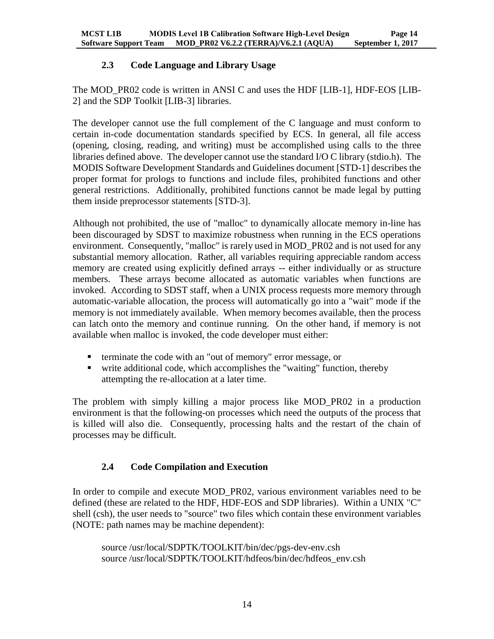# **2.3 Code Language and Library Usage**

<span id="page-17-0"></span>The MOD\_PR02 code is written in ANSI C and uses the HDF [LIB-1], HDF-EOS [LIB-2] and the SDP Toolkit [LIB-3] libraries.

The developer cannot use the full complement of the C language and must conform to certain in-code documentation standards specified by ECS. In general, all file access (opening, closing, reading, and writing) must be accomplished using calls to the three libraries defined above. The developer cannot use the standard I/O C library (stdio.h). The MODIS Software Development Standards and Guidelines document [STD-1] describes the proper format for prologs to functions and include files, prohibited functions and other general restrictions. Additionally, prohibited functions cannot be made legal by putting them inside preprocessor statements [STD-3].

Although not prohibited, the use of "malloc" to dynamically allocate memory in-line has been discouraged by SDST to maximize robustness when running in the ECS operations environment. Consequently, "malloc" is rarely used in MOD\_PR02 and is not used for any substantial memory allocation. Rather, all variables requiring appreciable random access memory are created using explicitly defined arrays -- either individually or as structure members. These arrays become allocated as automatic variables when functions are invoked. According to SDST staff, when a UNIX process requests more memory through automatic-variable allocation, the process will automatically go into a "wait" mode if the memory is not immediately available. When memory becomes available, then the process can latch onto the memory and continue running. On the other hand, if memory is not available when malloc is invoked, the code developer must either:

- **terminate the code with an "out of memory" error message, or**
- write additional code, which accomplishes the "waiting" function, thereby attempting the re-allocation at a later time.

The problem with simply killing a major process like MOD\_PR02 in a production environment is that the following-on processes which need the outputs of the process that is killed will also die. Consequently, processing halts and the restart of the chain of processes may be difficult.

# <span id="page-17-1"></span>**2.4 Code Compilation and Execution**

In order to compile and execute MOD\_PR02, various environment variables need to be defined (these are related to the HDF, HDF-EOS and SDP libraries). Within a UNIX "C" shell (csh), the user needs to "source" two files which contain these environment variables (NOTE: path names may be machine dependent):

source /usr/local/SDPTK/TOOLKIT/bin/dec/pgs-dev-env.csh source /usr/local/SDPTK/TOOLKIT/hdfeos/bin/dec/hdfeos\_env.csh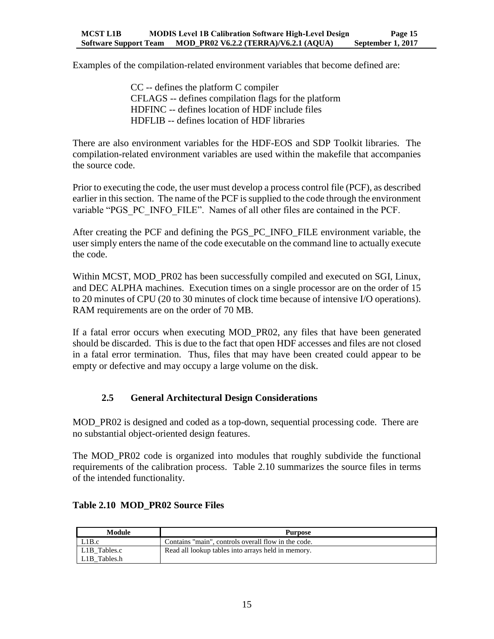Examples of the compilation-related environment variables that become defined are:

CC -- defines the platform C compiler CFLAGS -- defines compilation flags for the platform HDFINC -- defines location of HDF include files HDFLIB -- defines location of HDF libraries

There are also environment variables for the HDF-EOS and SDP Toolkit libraries. The compilation-related environment variables are used within the makefile that accompanies the source code.

Prior to executing the code, the user must develop a process control file (PCF), as described earlier in this section. The name of the PCF is supplied to the code through the environment variable "PGS\_PC\_INFO\_FILE". Names of all other files are contained in the PCF.

After creating the PCF and defining the PGS\_PC\_INFO\_FILE environment variable, the user simply enters the name of the code executable on the command line to actually execute the code.

Within MCST, MOD PR02 has been successfully compiled and executed on SGI, Linux, and DEC ALPHA machines. Execution times on a single processor are on the order of 15 to 20 minutes of CPU (20 to 30 minutes of clock time because of intensive I/O operations). RAM requirements are on the order of 70 MB.

If a fatal error occurs when executing MOD\_PR02, any files that have been generated should be discarded. This is due to the fact that open HDF accesses and files are not closed in a fatal error termination. Thus, files that may have been created could appear to be empty or defective and may occupy a large volume on the disk.

# <span id="page-18-0"></span>**2.5 General Architectural Design Considerations**

MOD PR02 is designed and coded as a top-down, sequential processing code. There are no substantial object-oriented design features.

The MOD\_PR02 code is organized into modules that roughly subdivide the functional requirements of the calibration process. Table 2.10 summarizes the source files in terms of the intended functionality.

| Module                    | Purpose                                             |
|---------------------------|-----------------------------------------------------|
| L1B.c                     | Contains "main", controls overall flow in the code. |
| L1B Tables.c              | Read all lookup tables into arrays held in memory.  |
| L <sub>1</sub> B Tables.h |                                                     |

#### <span id="page-18-1"></span>**Table 2.10 MOD\_PR02 Source Files**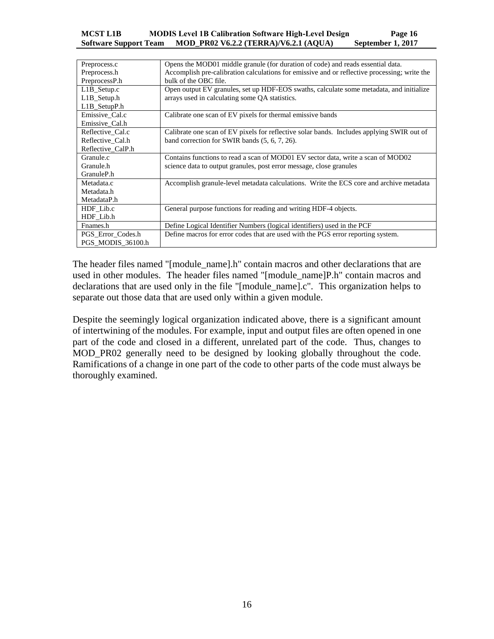#### **MCST L1B MODIS Level 1B Calibration Software High-Level Design Page 16 Software Support Team MOD\_PR02 V6.2.2 (TERRA)/V6.2.1 (AQUA) September 1, 2017**

| Preprocess.c      | Opens the MOD01 middle granule (for duration of code) and reads essential data.              |
|-------------------|----------------------------------------------------------------------------------------------|
| Preprocess.h      | Accomplish pre-calibration calculations for emissive and or reflective processing; write the |
| PreprocessP.h     | bulk of the OBC file.                                                                        |
| L1B_Setup.c       | Open output EV granules, set up HDF-EOS swaths, calculate some metadata, and initialize      |
| L1B_Setup.h       | arrays used in calculating some QA statistics.                                               |
| $L1B$ SetupP.h    |                                                                                              |
| Emissive Cal.c    | Calibrate one scan of EV pixels for thermal emissive bands                                   |
| Emissive_Cal.h    |                                                                                              |
| Reflective Cal.c  | Calibrate one scan of EV pixels for reflective solar bands. Includes applying SWIR out of    |
| Reflective Cal.h  | band correction for SWIR bands (5, 6, 7, 26).                                                |
| Reflective CalP.h |                                                                                              |
| Granule.c         | Contains functions to read a scan of MOD01 EV sector data, write a scan of MOD02             |
| Granule.h         | science data to output granules, post error message, close granules                          |
| GranuleP.h        |                                                                                              |
| Metadata.c        | Accomplish granule-level metadata calculations. Write the ECS core and archive metadata      |
| Metadata.h        |                                                                                              |
| MetadataP.h       |                                                                                              |
| HDF Lib.c         | General purpose functions for reading and writing HDF-4 objects.                             |
| HDF Lib.h         |                                                                                              |
| Fnames.h          | Define Logical Identifier Numbers (logical identifiers) used in the PCF                      |
| PGS Error Codes.h | Define macros for error codes that are used with the PGS error reporting system.             |
| PGS MODIS 36100.h |                                                                                              |

The header files named "[module\_name].h" contain macros and other declarations that are used in other modules. The header files named "[module\_name]P.h" contain macros and declarations that are used only in the file "[module\_name].c". This organization helps to separate out those data that are used only within a given module.

Despite the seemingly logical organization indicated above, there is a significant amount of intertwining of the modules. For example, input and output files are often opened in one part of the code and closed in a different, unrelated part of the code. Thus, changes to MOD\_PR02 generally need to be designed by looking globally throughout the code. Ramifications of a change in one part of the code to other parts of the code must always be thoroughly examined.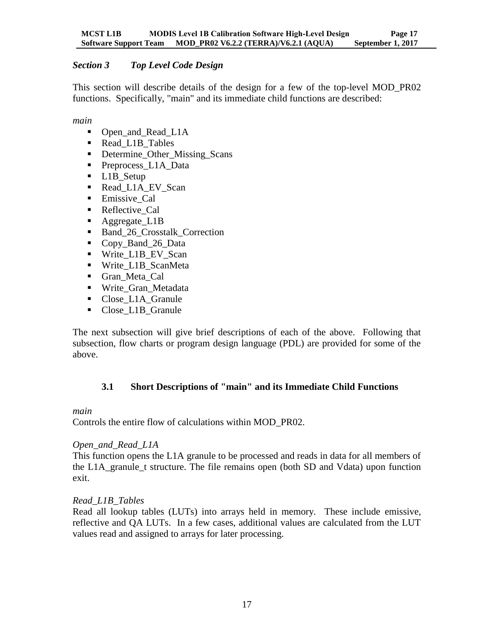# <span id="page-20-0"></span>*Section 3 Top Level Code Design*

This section will describe details of the design for a few of the top-level MOD\_PR02 functions. Specifically, "main" and its immediate child functions are described:

*main*

- Open\_and\_Read\_L1A
- Read\_L1B\_Tables
- Determine Other Missing Scans
- Preprocess L1A Data
- L1B Setup
- Read L1A EV Scan
- Emissive\_Cal
- Reflective Cal
- Aggregate\_L1B
- Band 26 Crosstalk Correction
- Copy\_Band\_26\_Data
- Write\_L1B\_EV\_Scan
- Write L1B ScanMeta
- Gran Meta Cal
- Write Gran Metadata
- Close L1A Granule
- Close\_L1B\_Granule

The next subsection will give brief descriptions of each of the above. Following that subsection, flow charts or program design language (PDL) are provided for some of the above.

# <span id="page-20-1"></span>**3.1 Short Descriptions of "main" and its Immediate Child Functions**

#### *main*

Controls the entire flow of calculations within MOD\_PR02.

# *Open\_and\_Read\_L1A*

This function opens the L1A granule to be processed and reads in data for all members of the L1A\_granule\_t structure. The file remains open (both SD and Vdata) upon function exit.

# *Read\_L1B\_Tables*

Read all lookup tables (LUTs) into arrays held in memory. These include emissive, reflective and QA LUTs. In a few cases, additional values are calculated from the LUT values read and assigned to arrays for later processing.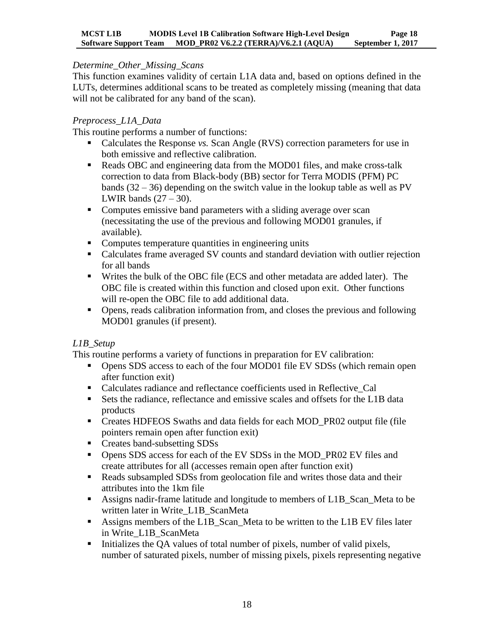#### *Determine\_Other\_Missing\_Scans*

This function examines validity of certain L1A data and, based on options defined in the LUTs, determines additional scans to be treated as completely missing (meaning that data will not be calibrated for any band of the scan).

#### *Preprocess\_L1A\_Data*

This routine performs a number of functions:

- Calculates the Response *vs*. Scan Angle (RVS) correction parameters for use in both emissive and reflective calibration.
- Reads OBC and engineering data from the MOD01 files, and make cross-talk correction to data from Black-body (BB) sector for Terra MODIS (PFM) PC bands  $(32 - 36)$  depending on the switch value in the lookup table as well as PV LWIR bands  $(27 – 30)$ .
- Computes emissive band parameters with a sliding average over scan (necessitating the use of the previous and following MOD01 granules, if available).
- Computes temperature quantities in engineering units
- Calculates frame averaged SV counts and standard deviation with outlier rejection for all bands
- Writes the bulk of the OBC file (ECS and other metadata are added later). The OBC file is created within this function and closed upon exit. Other functions will re-open the OBC file to add additional data.
- Opens, reads calibration information from, and closes the previous and following MOD01 granules (if present).

# *L1B\_Setup*

This routine performs a variety of functions in preparation for EV calibration:

- Opens SDS access to each of the four MOD01 file EV SDSs (which remain open after function exit)
- Calculates radiance and reflectance coefficients used in Reflective\_Cal
- Sets the radiance, reflectance and emissive scales and offsets for the L1B data products
- Creates HDFEOS Swaths and data fields for each MOD\_PR02 output file (file pointers remain open after function exit)
- Creates band-subsetting SDSs
- Opens SDS access for each of the EV SDSs in the MOD\_PR02 EV files and create attributes for all (accesses remain open after function exit)
- **Reads subsampled SDSs from geolocation file and writes those data and their** attributes into the 1km file
- Assigns nadir-frame latitude and longitude to members of L1B\_Scan\_Meta to be written later in Write\_L1B\_ScanMeta
- Assigns members of the L1B\_Scan\_Meta to be written to the L1B EV files later in Write\_L1B\_ScanMeta
- Initializes the QA values of total number of pixels, number of valid pixels, number of saturated pixels, number of missing pixels, pixels representing negative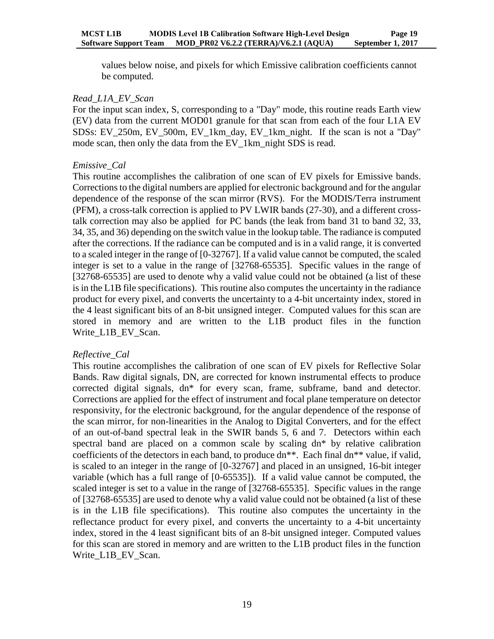values below noise, and pixels for which Emissive calibration coefficients cannot be computed.

#### *Read\_L1A\_EV\_Scan*

For the input scan index, S, corresponding to a "Day" mode, this routine reads Earth view (EV) data from the current MOD01 granule for that scan from each of the four L1A EV SDSs: EV\_250m, EV\_500m, EV\_1km\_day, EV\_1km\_night. If the scan is not a "Day" mode scan, then only the data from the EV\_1km\_night SDS is read.

#### *Emissive\_Cal*

This routine accomplishes the calibration of one scan of EV pixels for Emissive bands. Corrections to the digital numbers are applied for electronic background and for the angular dependence of the response of the scan mirror (RVS). For the MODIS/Terra instrument (PFM), a cross-talk correction is applied to PV LWIR bands (27-30), and a different crosstalk correction may also be applied for PC bands (the leak from band 31 to band 32, 33, 34, 35, and 36) depending on the switch value in the lookup table. The radiance is computed after the corrections. If the radiance can be computed and is in a valid range, it is converted to a scaled integer in the range of [0-32767]. If a valid value cannot be computed, the scaled integer is set to a value in the range of [32768-65535]. Specific values in the range of [32768-65535] are used to denote why a valid value could not be obtained (a list of these is in the L1B file specifications). This routine also computes the uncertainty in the radiance product for every pixel, and converts the uncertainty to a 4-bit uncertainty index, stored in the 4 least significant bits of an 8-bit unsigned integer. Computed values for this scan are stored in memory and are written to the L1B product files in the function Write\_L1B\_EV\_Scan.

#### *Reflective\_Cal*

This routine accomplishes the calibration of one scan of EV pixels for Reflective Solar Bands. Raw digital signals, DN, are corrected for known instrumental effects to produce corrected digital signals, dn\* for every scan, frame, subframe, band and detector. Corrections are applied for the effect of instrument and focal plane temperature on detector responsivity, for the electronic background, for the angular dependence of the response of the scan mirror, for non-linearities in the Analog to Digital Converters, and for the effect of an out-of-band spectral leak in the SWIR bands 5, 6 and 7. Detectors within each spectral band are placed on a common scale by scaling dn\* by relative calibration coefficients of the detectors in each band, to produce dn\*\*. Each final dn\*\* value, if valid, is scaled to an integer in the range of [0-32767] and placed in an unsigned, 16-bit integer variable (which has a full range of [0-65535]). If a valid value cannot be computed, the scaled integer is set to a value in the range of [32768-65535]. Specific values in the range of [32768-65535] are used to denote why a valid value could not be obtained (a list of these is in the L1B file specifications). This routine also computes the uncertainty in the reflectance product for every pixel, and converts the uncertainty to a 4-bit uncertainty index, stored in the 4 least significant bits of an 8-bit unsigned integer. Computed values for this scan are stored in memory and are written to the L1B product files in the function Write\_L1B\_EV\_Scan.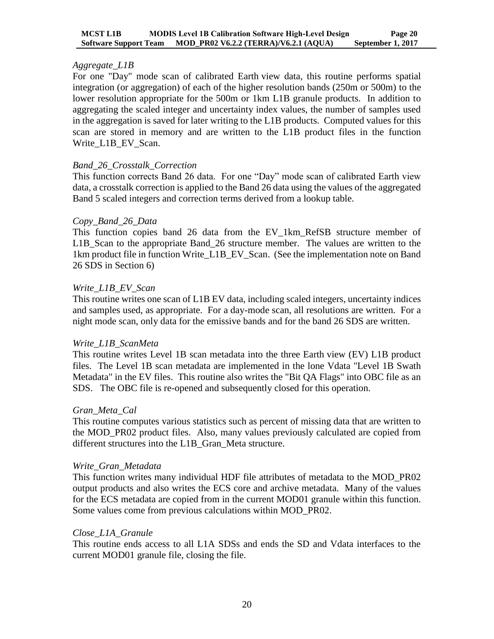#### *Aggregate\_L1B*

For one "Day" mode scan of calibrated Earth view data, this routine performs spatial integration (or aggregation) of each of the higher resolution bands (250m or 500m) to the lower resolution appropriate for the 500m or 1km L1B granule products. In addition to aggregating the scaled integer and uncertainty index values, the number of samples used in the aggregation is saved for later writing to the L1B products. Computed values for this scan are stored in memory and are written to the L1B product files in the function Write\_L1B\_EV\_Scan.

#### *Band\_26\_Crosstalk\_Correction*

This function corrects Band 26 data. For one "Day" mode scan of calibrated Earth view data, a crosstalk correction is applied to the Band 26 data using the values of the aggregated Band 5 scaled integers and correction terms derived from a lookup table.

#### *Copy\_Band\_26\_Data*

This function copies band 26 data from the EV\_1km\_RefSB structure member of L1B\_Scan to the appropriate Band\_26 structure member. The values are written to the 1km product file in function Write\_L1B\_EV\_Scan. (See the implementation note on Band 26 SDS in Section 6)

#### *Write\_L1B\_EV\_Scan*

This routine writes one scan of L1B EV data, including scaled integers, uncertainty indices and samples used, as appropriate. For a day-mode scan, all resolutions are written. For a night mode scan, only data for the emissive bands and for the band 26 SDS are written.

#### *Write\_L1B\_ScanMeta*

This routine writes Level 1B scan metadata into the three Earth view (EV) L1B product files. The Level 1B scan metadata are implemented in the lone Vdata "Level 1B Swath Metadata" in the EV files. This routine also writes the "Bit QA Flags" into OBC file as an SDS. The OBC file is re-opened and subsequently closed for this operation.

#### *Gran\_Meta\_Cal*

This routine computes various statistics such as percent of missing data that are written to the MOD\_PR02 product files. Also, many values previously calculated are copied from different structures into the L1B\_Gran\_Meta structure.

#### *Write\_Gran\_Metadata*

This function writes many individual HDF file attributes of metadata to the MOD\_PR02 output products and also writes the ECS core and archive metadata. Many of the values for the ECS metadata are copied from in the current MOD01 granule within this function. Some values come from previous calculations within MOD\_PR02.

#### *Close\_L1A\_Granule*

This routine ends access to all L1A SDSs and ends the SD and Vdata interfaces to the current MOD01 granule file, closing the file.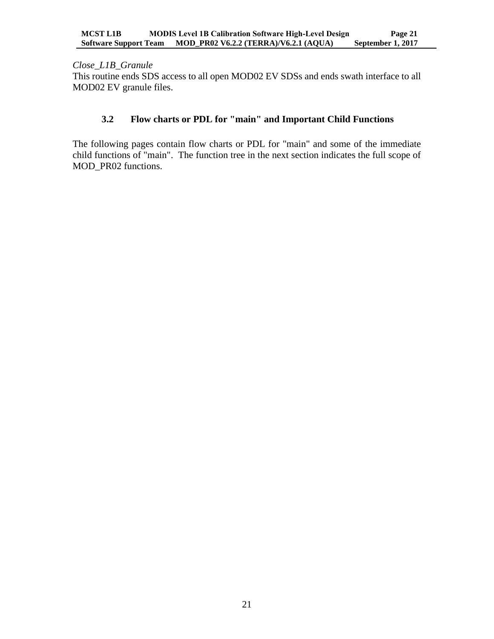*Close\_L1B\_Granule*

This routine ends SDS access to all open MOD02 EV SDSs and ends swath interface to all MOD02 EV granule files.

# <span id="page-24-0"></span>**3.2 Flow charts or PDL for "main" and Important Child Functions**

The following pages contain flow charts or PDL for "main" and some of the immediate child functions of "main". The function tree in the next section indicates the full scope of MOD\_PR02 functions.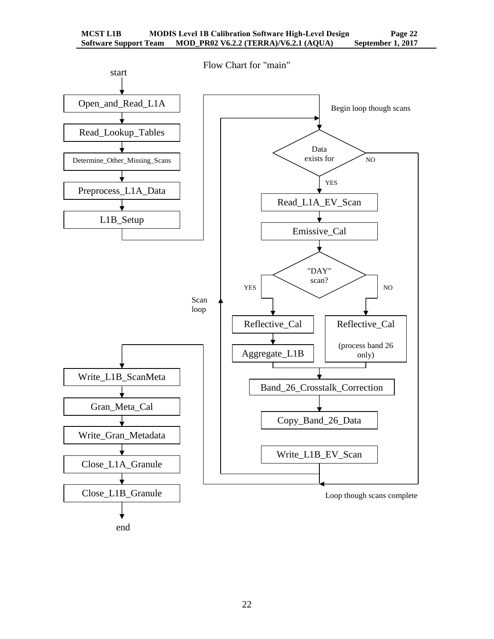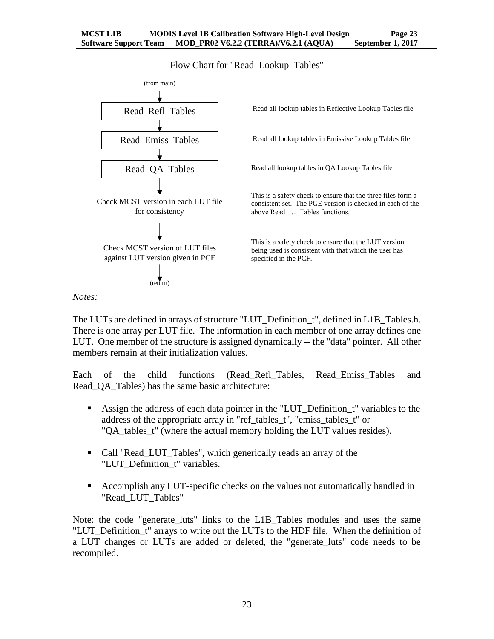Flow Chart for "Read\_Lookup\_Tables"



#### *Notes:*

The LUTs are defined in arrays of structure "LUT\_Definition\_t", defined in L1B\_Tables.h. There is one array per LUT file. The information in each member of one array defines one LUT. One member of the structure is assigned dynamically -- the "data" pointer. All other members remain at their initialization values.

Each of the child functions (Read\_Refl\_Tables, Read\_Emiss\_Tables and Read\_QA\_Tables) has the same basic architecture:

- Assign the address of each data pointer in the "LUT\_Definition\_t" variables to the address of the appropriate array in "ref\_tables\_t", "emiss\_tables\_t" or "QA tables t" (where the actual memory holding the LUT values resides).
- Call "Read\_LUT\_Tables", which generically reads an array of the "LUT\_Definition\_t" variables.
- Accomplish any LUT-specific checks on the values not automatically handled in "Read\_LUT\_Tables"

Note: the code "generate luts" links to the L1B Tables modules and uses the same "LUT\_Definition\_t" arrays to write out the LUTs to the HDF file. When the definition of a LUT changes or LUTs are added or deleted, the "generate luts" code needs to be recompiled.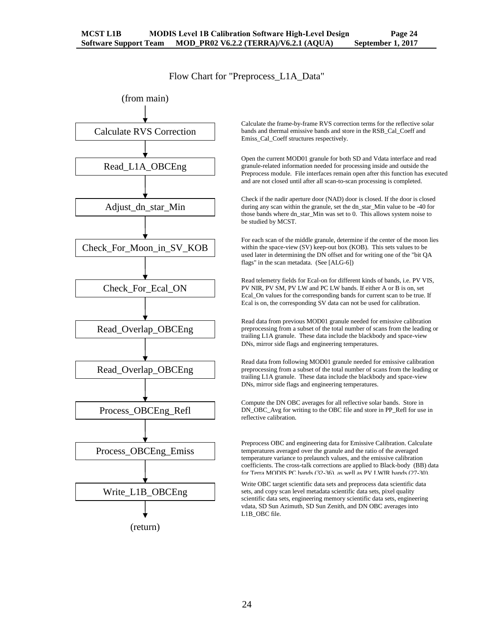#### Flow Chart for "Preprocess\_L1A\_Data"



Calculate the frame-by-frame RVS correction terms for the reflective solar bands and thermal emissive bands and store in the RSB\_Cal\_Coeff and Emiss\_Cal\_Coeff structures respectively.

Open the current MOD01 granule for both SD and Vdata interface and read granule-related information needed for processing inside and outside the Preprocess module. File interfaces remain open after this function has executed and are not closed until after all scan-to-scan processing is completed.

Check if the nadir aperture door (NAD) door is closed. If the door is closed during any scan within the granule, set the dn\_star\_Min value to be -40 for those bands where dn\_star\_Min was set to 0. This allows system noise to be studied by MCST.

For each scan of the middle granule, determine if the center of the moon lies within the space-view (SV) keep-out box (KOB). This sets values to be used later in determining the DN offset and for writing one of the "bit QA flags" in the scan metadata. (See [ALG-6])

Read telemetry fields for Ecal-on for different kinds of bands, i.e. PV VIS, PV NIR, PV SM, PV LW and PC LW bands. If either A or B is on, set Ecal\_On values for the corresponding bands for current scan to be true. If Ecal is on, the corresponding SV data can not be used for calibration.

Read data from previous MOD01 granule needed for emissive calibration preprocessing from a subset of the total number of scans from the leading or trailing L1A granule. These data include the blackbody and space-view DNs, mirror side flags and engineering temperatures.

Read data from following MOD01 granule needed for emissive calibration preprocessing from a subset of the total number of scans from the leading or trailing L1A granule. These data include the blackbody and space-view DNs, mirror side flags and engineering temperatures.

Compute the DN OBC averages for all reflective solar bands. Store in DN\_OBC\_Avg for writing to the OBC file and store in PP\_Refl for use in reflective calibration.

Preprocess OBC and engineering data for Emissive Calibration. Calculate temperatures averaged over the granule and the ratio of the averaged temperature variance to prelaunch values, and the emissive calibration coefficients. The cross-talk corrections are applied to Black-body (BB) data for Terra MODIS PC bands (32-36), as well as PV LWIR bands (27-30).

Write OBC target scientific data sets and preprocess data scientific data sets, and copy scan level metadata scientific data sets, pixel quality scientific data sets, engineering memory scientific data sets, engineering vdata, SD Sun Azimuth, SD Sun Zenith, and DN OBC averages into L1B\_OBC file.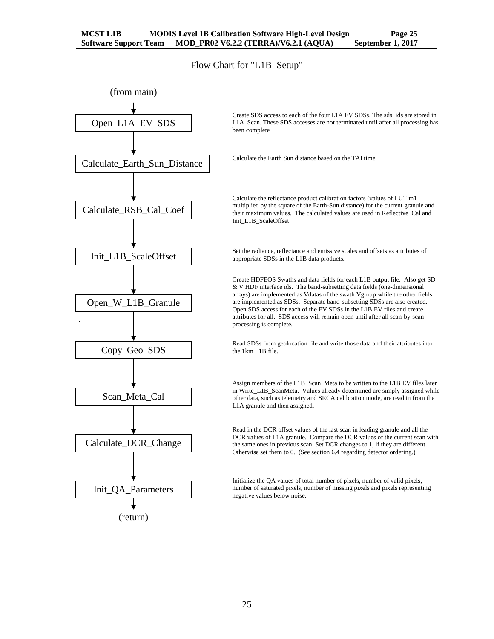Flow Chart for "L1B\_Setup"

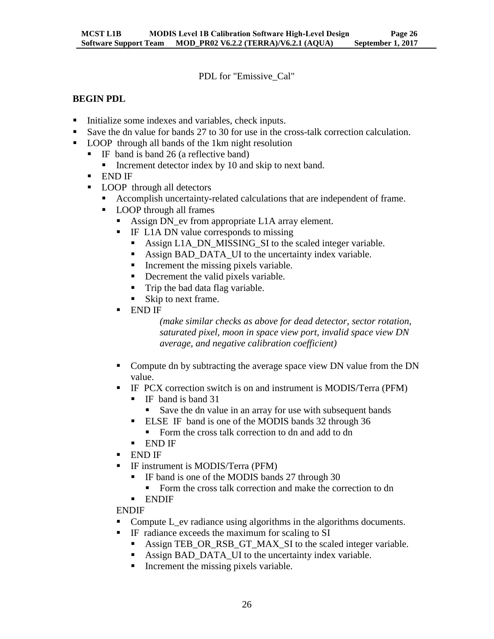PDL for "Emissive\_Cal"

#### **BEGIN PDL**

- Initialize some indexes and variables, check inputs.
- Save the dn value for bands 27 to 30 for use in the cross-talk correction calculation.
- **LOOP** through all bands of the 1km night resolution
	- IF band is band 26 (a reflective band)
		- Increment detector index by 10 and skip to next band.
	- END IF
	- **LOOP** through all detectors
		- Accomplish uncertainty-related calculations that are independent of frame.
		- **LOOP** through all frames
			- Assign DN\_ev from appropriate L1A array element.
			- IF L1A DN value corresponds to missing
				- Assign L1A\_DN\_MISSING\_SI to the scaled integer variable.
				- Assign BAD\_DATA\_UI to the uncertainty index variable.
				- Increment the missing pixels variable.
				- Decrement the valid pixels variable.
				- Trip the bad data flag variable.
				- Skip to next frame.
			- END IF

*(make similar checks as above for dead detector, sector rotation, saturated pixel, moon in space view port, invalid space view DN average, and negative calibration coefficient)*

- Compute dn by subtracting the average space view DN value from the DN value.
- **IF PCX correction switch is on and instrument is MODIS/Terra (PFM)** 
	- IF band is band 31
	- Save the dn value in an array for use with subsequent bands
	- **ELSE IF band is one of the MODIS bands 32 through 36** 
		- Form the cross talk correction to dn and add to dn
	- END IF
- END IF
- IF instrument is MODIS/Terra (PFM)
	- IF band is one of the MODIS bands 27 through 30
	- Form the cross talk correction and make the correction to dn
	- **ENDIF**

ENDIF

- Compute L\_ev radiance using algorithms in the algorithms documents.
- **IF** radiance exceeds the maximum for scaling to SI
	- Assign TEB\_OR\_RSB\_GT\_MAX\_SI to the scaled integer variable.
	- Assign BAD\_DATA\_UI to the uncertainty index variable.
	- Increment the missing pixels variable.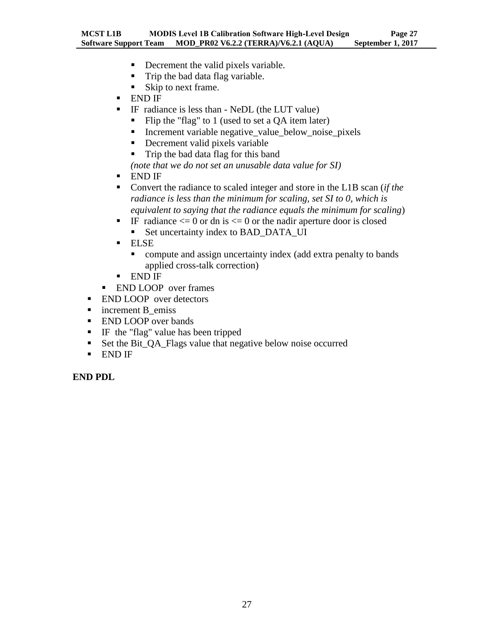- Decrement the valid pixels variable.
- Trip the bad data flag variable.
- Skip to next frame.
- END IF
- IF radiance is less than NeDL (the LUT value)
	- Flip the "flag" to 1 (used to set a  $QA$  item later)
	- Increment variable negative\_value\_below\_noise\_pixels
	- Decrement valid pixels variable
	- Trip the bad data flag for this band

*(note that we do not set an unusable data value for SI)*

- END IF
- Convert the radiance to scaled integer and store in the L1B scan (*if the radiance is less than the minimum for scaling, set SI to 0, which is equivalent to saying that the radiance equals the minimum for scaling*)
- IF radiance  $\leq 0$  or dn is  $\leq 0$  or the nadir aperture door is closed
	- Set uncertainty index to BAD\_DATA\_UI
- **ELSE** 
	- compute and assign uncertainty index (add extra penalty to bands applied cross-talk correction)
- END IF
- **END LOOP** over frames
- **END LOOP** over detectors
- increment B\_emiss
- **END LOOP** over bands
- **IF** the "flag" value has been tripped
- Set the Bit\_QA\_Flags value that negative below noise occurred
- END IF

**END PDL**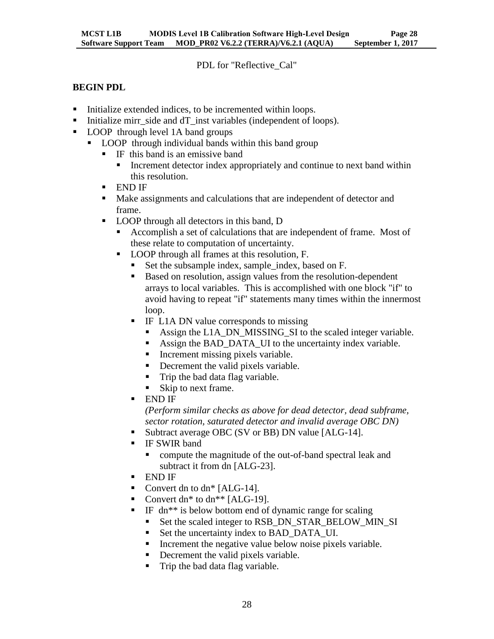PDL for "Reflective\_Cal"

# **BEGIN PDL**

- Initialize extended indices, to be incremented within loops.
- Initialize mirr\_side and dT\_inst variables (independent of loops).
- LOOP through level 1A band groups
	- LOOP through individual bands within this band group
		- $\blacksquare$  IF this band is an emissive band
			- Increment detector index appropriately and continue to next band within this resolution.
		- END IF
		- Make assignments and calculations that are independent of detector and frame.
		- **LOOP** through all detectors in this band, D
			- Accomplish a set of calculations that are independent of frame. Most of these relate to computation of uncertainty.
			- LOOP through all frames at this resolution, F.
				- Set the subsample index, sample index, based on F.
				- Based on resolution, assign values from the resolution-dependent arrays to local variables. This is accomplished with one block "if" to avoid having to repeat "if" statements many times within the innermost loop.
				- IF L1A DN value corresponds to missing
					- Assign the L1A\_DN\_MISSING\_SI to the scaled integer variable.
					- Assign the BAD DATA UI to the uncertainty index variable.
					- Increment missing pixels variable.
					- Decrement the valid pixels variable.
					- Trip the bad data flag variable.
					- Skip to next frame.
				- END IF

*(Perform similar checks as above for dead detector, dead subframe, sector rotation, saturated detector and invalid average OBC DN)*

- Subtract average OBC (SV or BB) DN value [ALG-14].
- IF SWIR band
	- compute the magnitude of the out-of-band spectral leak and subtract it from dn [ALG-23].
- END IF
- Convert dn to dn\* [ALG-14].
- Convert dn\* to dn\*\*  $[ALG-19]$ .
- IF dn\*\* is below bottom end of dynamic range for scaling
	- Set the scaled integer to RSB\_DN\_STAR\_BELOW\_MIN\_SI
	- Set the uncertainty index to BAD\_DATA\_UI.
	- **Increment the negative value below noise pixels variable.**
	- Decrement the valid pixels variable.
	- Trip the bad data flag variable.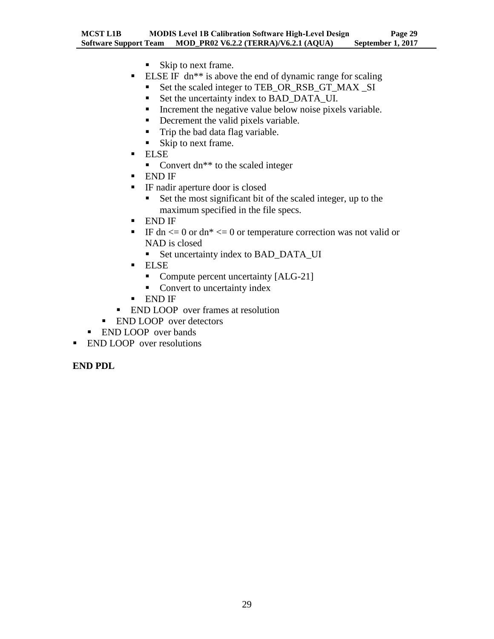- Skip to next frame.
- **ELSE IF** dn<sup>\*\*</sup> is above the end of dynamic range for scaling
	- Set the scaled integer to TEB\_OR\_RSB\_GT\_MAX \_SI
	- Set the uncertainty index to BAD\_DATA\_UI.
	- Increment the negative value below noise pixels variable.
	- Decrement the valid pixels variable.
	- Trip the bad data flag variable.
	- Skip to next frame.
- ELSE
	- Convert dn<sup>\*\*</sup> to the scaled integer
- END IF
- IF nadir aperture door is closed
	- Set the most significant bit of the scaled integer, up to the maximum specified in the file specs.
- END IF
- IF dn  $\leq$  0 or dn\*  $\leq$  0 or temperature correction was not valid or NAD is closed
	- Set uncertainty index to BAD\_DATA\_UI
- ELSE
	- Compute percent uncertainty [ALG-21]
	- Convert to uncertainty index
- END IF
- **END LOOP** over frames at resolution
- **END LOOP** over detectors
- **END LOOP** over bands
- **END LOOP** over resolutions

#### **END PDL**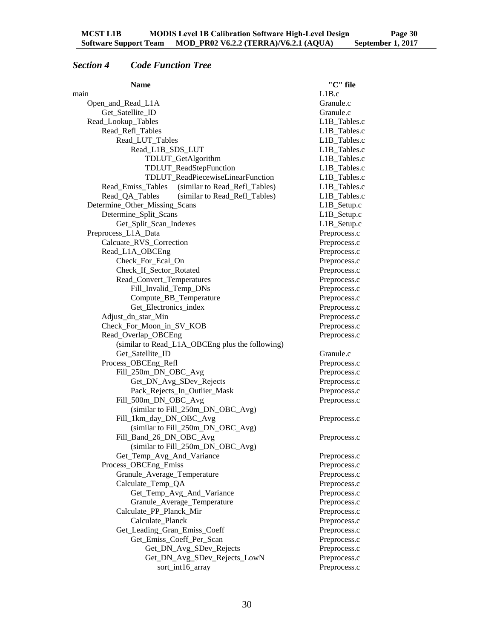# <span id="page-33-0"></span>*Section 4 Code Function Tree*

| <b>Name</b>                                        | "C" file     |
|----------------------------------------------------|--------------|
| main                                               | L1B.c        |
| Open_and_Read_L1A                                  | Granule.c    |
| Get_Satellite_ID                                   | Granule.c    |
| Read_Lookup_Tables                                 | L1B_Tables.c |
| Read_Refl_Tables                                   | L1B_Tables.c |
| Read_LUT_Tables                                    | L1B_Tables.c |
| Read_L1B_SDS_LUT                                   | L1B_Tables.c |
| TDLUT_GetAlgorithm                                 | L1B_Tables.c |
| TDLUT_ReadStepFunction                             | L1B_Tables.c |
| TDLUT_ReadPiecewiseLinearFunction                  | L1B_Tables.c |
| (similar to Read_Refl_Tables)<br>Read_Emiss_Tables | L1B_Tables.c |
| Read_QA_Tables<br>(similar to Read_Refl_Tables)    | L1B_Tables.c |
| Determine_Other_Missing_Scans                      | L1B_Setup.c  |
| Determine_Split_Scans                              | L1B_Setup.c  |
| Get_Split_Scan_Indexes                             | L1B_Setup.c  |
| Preprocess_L1A_Data                                | Preprocess.c |
| Calcuate_RVS_Correction                            | Preprocess.c |
| Read_L1A_OBCEng                                    | Preprocess.c |
| Check_For_Ecal_On                                  | Preprocess.c |
| Check_If_Sector_Rotated                            | Preprocess.c |
| Read_Convert_Temperatures                          | Preprocess.c |
| Fill_Invalid_Temp_DNs                              | Preprocess.c |
| Compute_BB_Temperature                             | Preprocess.c |
| Get_Electronics_index                              | Preprocess.c |
| Adjust_dn_star_Min                                 | Preprocess.c |
| Check_For_Moon_in_SV_KOB                           | Preprocess.c |
| Read_Overlap_OBCEng                                | Preprocess.c |
| (similar to Read_L1A_OBCEng plus the following)    |              |
| Get_Satellite_ID                                   | Granule.c    |
| Process_OBCEng_Refl                                | Preprocess.c |
| Fill_250m_DN_OBC_Avg                               | Preprocess.c |
| Get_DN_Avg_SDev_Rejects                            | Preprocess.c |
| Pack_Rejects_In_Outlier_Mask                       | Preprocess.c |
| Fill_500m_DN_OBC_Avg                               | Preprocess.c |
| (similar to Fill_250m_DN_OBC_Avg)                  |              |
| Fill_1km_day_DN_OBC_Avg                            | Preprocess.c |
| (similar to Fill_250m_DN_OBC_Avg)                  |              |
| Fill_Band_26_DN_OBC_Avg                            | Preprocess.c |
| (similar to Fill_250m_DN_OBC_Avg)                  |              |
| Get_Temp_Avg_And_Variance                          | Preprocess.c |
| Process OBCEng Emiss                               | Preprocess.c |
| Granule_Average_Temperature                        | Preprocess.c |
| Calculate_Temp_QA                                  | Preprocess.c |
| Get_Temp_Avg_And_Variance                          | Preprocess.c |
| Granule_Average_Temperature                        | Preprocess.c |
| Calculate_PP_Planck_Mir                            | Preprocess.c |
| Calculate_Planck                                   | Preprocess.c |
| Get_Leading_Gran_Emiss_Coeff                       | Preprocess.c |
| Get_Emiss_Coeff_Per_Scan                           | Preprocess.c |
| Get_DN_Avg_SDev_Rejects                            | Preprocess.c |
| Get_DN_Avg_SDev_Rejects_LowN                       | Preprocess.c |
| sort_int16_array                                   | Preprocess.c |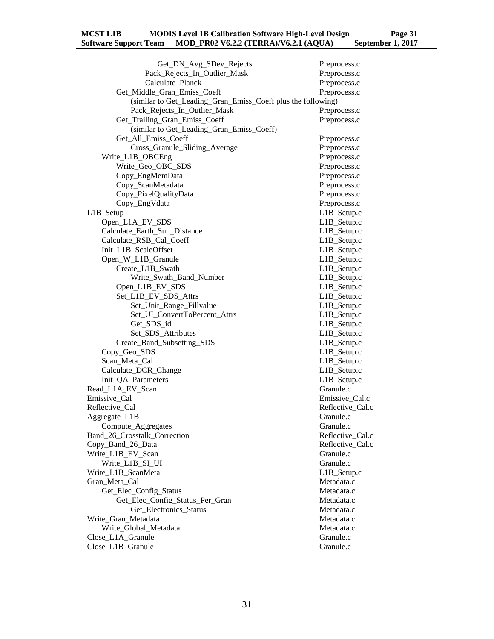| Get_DN_Avg_SDev_Rejects                                      | Preprocess.c     |
|--------------------------------------------------------------|------------------|
| Pack_Rejects_In_Outlier_Mask                                 | Preprocess.c     |
| Calculate Planck                                             | Preprocess.c     |
| Get_Middle_Gran_Emiss_Coeff                                  | Preprocess.c     |
| (similar to Get_Leading_Gran_Emiss_Coeff plus the following) |                  |
| Pack_Rejects_In_Outlier_Mask                                 | Preprocess.c     |
| Get_Trailing_Gran_Emiss_Coeff                                | Preprocess.c     |
| (similar to Get_Leading_Gran_Emiss_Coeff)                    |                  |
| Get_All_Emiss_Coeff                                          | Preprocess.c     |
| Cross_Granule_Sliding_Average                                | Preprocess.c     |
| Write_L1B_OBCEng                                             | Preprocess.c     |
| Write_Geo_OBC_SDS                                            | Preprocess.c     |
| Copy_EngMemData                                              |                  |
|                                                              | Preprocess.c     |
| Copy_ScanMetadata                                            | Preprocess.c     |
| Copy_PixelQualityData                                        | Preprocess.c     |
| Copy_EngVdata                                                | Preprocess.c     |
| L1B_Setup                                                    | L1B_Setup.c      |
| Open_L1A_EV_SDS                                              | L1B_Setup.c      |
| Calculate_Earth_Sun_Distance                                 | L1B_Setup.c      |
| Calculate RSB Cal Coeff                                      | L1B_Setup.c      |
| Init_L1B_ScaleOffset                                         | L1B_Setup.c      |
| Open_W_L1B_Granule                                           | L1B_Setup.c      |
| Create_L1B_Swath                                             | L1B_Setup.c      |
| Write_Swath_Band_Number                                      | L1B_Setup.c      |
| Open_L1B_EV_SDS                                              | L1B_Setup.c      |
| Set_L1B_EV_SDS_Attrs                                         | L1B_Setup.c      |
| Set_Unit_Range_Fillvalue                                     | L1B_Setup.c      |
| Set_UI_ConvertToPercent_Attrs                                | L1B_Setup.c      |
| Get_SDS_id                                                   | L1B_Setup.c      |
| Set_SDS_Attributes                                           | L1B_Setup.c      |
| Create_Band_Subsetting_SDS                                   | L1B_Setup.c      |
| Copy_Geo_SDS                                                 | L1B_Setup.c      |
| Scan_Meta_Cal                                                | L1B_Setup.c      |
| Calculate_DCR_Change                                         | L1B_Setup.c      |
| Init_QA_Parameters                                           | L1B_Setup.c      |
| Read_L1A_EV_Scan                                             | Granule.c        |
| Emissive_Cal                                                 | Emissive_Cal.c   |
| Reflective_Cal                                               | Reflective_Cal.c |
| Aggregate_L1B                                                | Granule.c        |
| Compute_Aggregates                                           | Granule.c        |
| Band_26_Crosstalk_Correction                                 | Reflective_Cal.c |
| Copy_Band_26_Data                                            | Reflective_Cal.c |
| Write_L1B_EV_Scan                                            | Granule.c        |
| Write_L1B_SI_UI                                              | Granule.c        |
| Write_L1B_ScanMeta                                           | L1B_Setup.c      |
| Gran Meta Cal                                                | Metadata.c       |
| Get_Elec_Config_Status                                       |                  |
|                                                              | Metadata.c       |
| Get_Elec_Config_Status_Per_Gran                              | Metadata.c       |
| Get_Electronics_Status                                       | Metadata.c       |
| Write_Gran_Metadata                                          | Metadata.c       |
| Write_Global_Metadata                                        | Metadata.c       |
| Close_L1A_Granule                                            | Granule.c        |
| Close_L1B_Granule                                            | Granule.c        |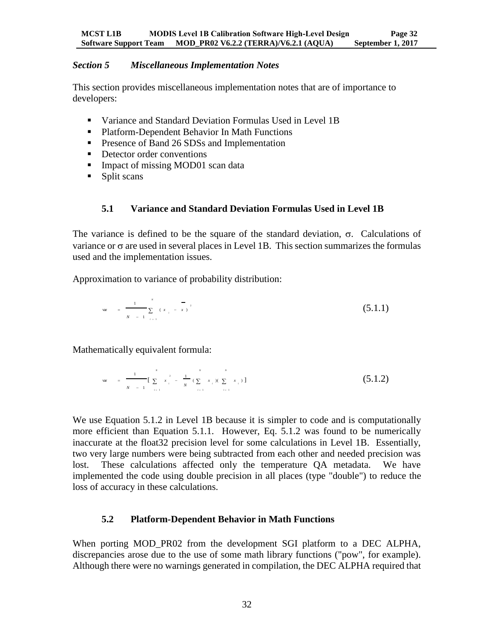#### <span id="page-35-0"></span>*Section 5 Miscellaneous Implementation Notes*

This section provides miscellaneous implementation notes that are of importance to developers:

- Variance and Standard Deviation Formulas Used in Level 1B
- Platform-Dependent Behavior In Math Functions
- **Presence of Band 26 SDSs and Implementation**
- Detector order conventions
- Impact of missing MOD01 scan data
- <span id="page-35-1"></span>• Split scans

# **5.1 Variance and Standard Deviation Formulas Used in Level 1B**

The variance is defined to be the square of the standard deviation,  $\sigma$ . Calculations of variance or  $\sigma$  are used in several places in Level 1B. This section summarizes the formulas used and the implementation issues.

Approximation to variance of probability distribution:

$$
\text{var} = \frac{1}{N-1} \sum_{i=1}^{N} (x_i - x_i)^2
$$
 (5.1.1)

Mathematically equivalent formula:

var = 
$$
\frac{1}{N-1} \left[ \sum_{i=1}^{N} x_i^2 - \frac{1}{N} (\sum_{i=1}^{N} x_i)^2 \sum_{i=1}^{N} x_i^2 \right]
$$
 (5.1.2)

We use Equation 5.1.2 in Level 1B because it is simpler to code and is computationally more efficient than Equation 5.1.1. However, Eq. 5.1.2 was found to be numerically inaccurate at the float32 precision level for some calculations in Level 1B. Essentially, two very large numbers were being subtracted from each other and needed precision was lost. These calculations affected only the temperature QA metadata. We have implemented the code using double precision in all places (type "double") to reduce the loss of accuracy in these calculations.

# <span id="page-35-2"></span>**5.2 Platform-Dependent Behavior in Math Functions**

When porting MOD\_PR02 from the development SGI platform to a DEC ALPHA, discrepancies arose due to the use of some math library functions ("pow", for example). Although there were no warnings generated in compilation, the DEC ALPHA required that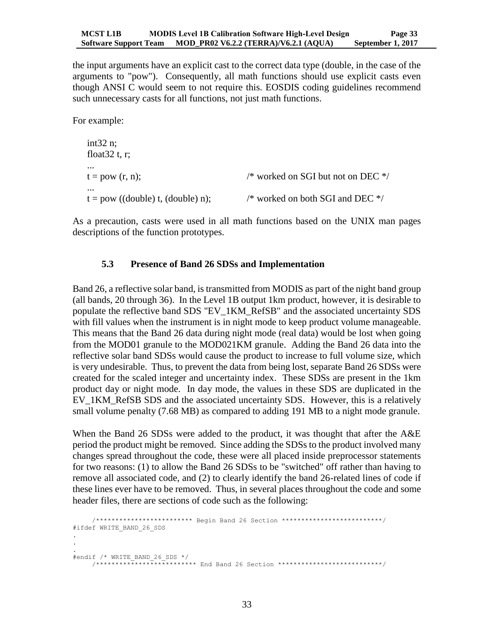the input arguments have an explicit cast to the correct data type (double, in the case of the arguments to "pow"). Consequently, all math functions should use explicit casts even though ANSI C would seem to not require this. EOSDIS coding guidelines recommend such unnecessary casts for all functions, not just math functions.

For example:

```
int32 n;
float 32 t, r;
...
t = pow (r, n); /* worked on SGI but not on DEC */
...
t = pow ((double) t, (double) n); /* worked on both SGI and DEC */
```
<span id="page-36-0"></span>As a precaution, casts were used in all math functions based on the UNIX man pages descriptions of the function prototypes.

#### **5.3 Presence of Band 26 SDSs and Implementation**

Band 26, a reflective solar band, is transmitted from MODIS as part of the night band group (all bands, 20 through 36). In the Level 1B output 1km product, however, it is desirable to populate the reflective band SDS "EV\_1KM\_RefSB" and the associated uncertainty SDS with fill values when the instrument is in night mode to keep product volume manageable. This means that the Band 26 data during night mode (real data) would be lost when going from the MOD01 granule to the MOD021KM granule. Adding the Band 26 data into the reflective solar band SDSs would cause the product to increase to full volume size, which is very undesirable. Thus, to prevent the data from being lost, separate Band 26 SDSs were created for the scaled integer and uncertainty index. These SDSs are present in the 1km product day or night mode. In day mode, the values in these SDS are duplicated in the EV 1KM RefSB SDS and the associated uncertainty SDS. However, this is a relatively small volume penalty (7.68 MB) as compared to adding 191 MB to a night mode granule.

When the Band 26 SDSs were added to the product, it was thought that after the A&E period the product might be removed. Since adding the SDSs to the product involved many changes spread throughout the code, these were all placed inside preprocessor statements for two reasons: (1) to allow the Band 26 SDSs to be "switched" off rather than having to remove all associated code, and (2) to clearly identify the band 26-related lines of code if these lines ever have to be removed. Thus, in several places throughout the code and some header files, there are sections of code such as the following:

```
 /************************* Begin Band 26 Section **************************/
#ifdef WRITE_BAND_26_SDS
.
.
.
#endif /* WRITE_BAND_26_SDS */
      /************************** End Band 26 Section ***************************/
```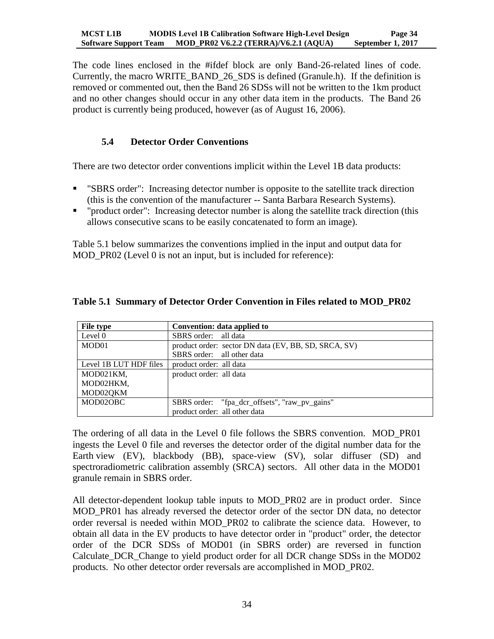The code lines enclosed in the #ifdef block are only Band-26-related lines of code. Currently, the macro WRITE\_BAND\_26\_SDS is defined (Granule.h). If the definition is removed or commented out, then the Band 26 SDSs will not be written to the 1km product and no other changes should occur in any other data item in the products. The Band 26 product is currently being produced, however (as of August 16, 2006).

# <span id="page-37-0"></span>**5.4 Detector Order Conventions**

There are two detector order conventions implicit within the Level 1B data products:

- "SBRS order": Increasing detector number is opposite to the satellite track direction (this is the convention of the manufacturer -- Santa Barbara Research Systems).
- "product order": Increasing detector number is along the satellite track direction (this allows consecutive scans to be easily concatenated to form an image).

Table 5.1 below summarizes the conventions implied in the input and output data for MOD PR02 (Level 0 is not an input, but is included for reference):

| File type              | Convention: data applied to                          |
|------------------------|------------------------------------------------------|
| Level 0                | SBRS order: all data                                 |
| MOD01                  | product order: sector DN data (EV, BB, SD, SRCA, SV) |
|                        | SBRS order: all other data                           |
| Level 1B LUT HDF files | product order: all data                              |
| MOD021KM,              | product order: all data                              |
| MOD02HKM,              |                                                      |
| MOD02QKM               |                                                      |
| MOD02OBC               | SBRS order: "fpa_dcr_offsets", "raw_pv_gains"        |
|                        | product order: all other data                        |

#### <span id="page-37-1"></span>**Table 5.1 Summary of Detector Order Convention in Files related to MOD\_PR02**

The ordering of all data in the Level 0 file follows the SBRS convention. MOD\_PR01 ingests the Level 0 file and reverses the detector order of the digital number data for the Earth view (EV), blackbody (BB), space-view (SV), solar diffuser (SD) and spectroradiometric calibration assembly (SRCA) sectors. All other data in the MOD01 granule remain in SBRS order.

All detector-dependent lookup table inputs to MOD\_PR02 are in product order. Since MOD\_PR01 has already reversed the detector order of the sector DN data, no detector order reversal is needed within MOD\_PR02 to calibrate the science data. However, to obtain all data in the EV products to have detector order in "product" order, the detector order of the DCR SDSs of MOD01 (in SBRS order) are reversed in function Calculate\_DCR\_Change to yield product order for all DCR change SDSs in the MOD02 products. No other detector order reversals are accomplished in MOD\_PR02.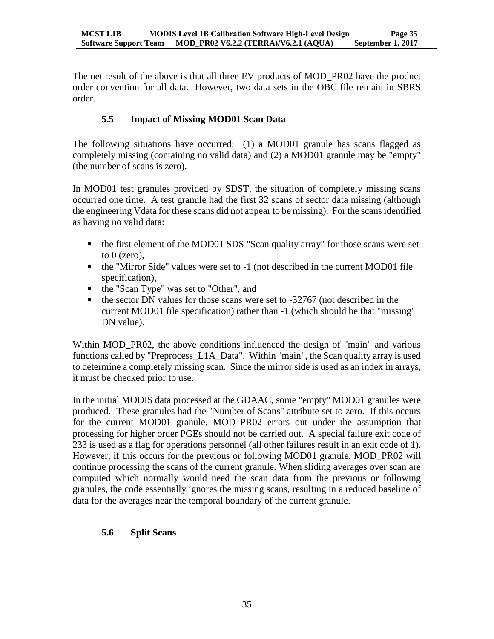The net result of the above is that all three EV products of MOD\_PR02 have the product order convention for all data. However, two data sets in the OBC file remain in SBRS order.

# <span id="page-38-0"></span>**5.5 Impact of Missing MOD01 Scan Data**

The following situations have occurred: (1) a MOD01 granule has scans flagged as completely missing (containing no valid data) and (2) a MOD01 granule may be "empty" (the number of scans is zero).

In MOD01 test granules provided by SDST, the situation of completely missing scans occurred one time. A test granule had the first 32 scans of sector data missing (although the engineering Vdata for these scans did not appear to be missing). For the scans identified as having no valid data:

- the first element of the MOD01 SDS "Scan quality array" for those scans were set to  $0$  (zero),
- the "Mirror Side" values were set to -1 (not described in the current MOD01 file specification),
- the "Scan Type" was set to "Other", and
- $\bullet$  the sector DN values for those scans were set to -32767 (not described in the current MOD01 file specification) rather than -1 (which should be that "missing" DN value).

Within MOD PR02, the above conditions influenced the design of "main" and various functions called by "Preprocess\_L1A\_Data". Within "main", the Scan quality array is used to determine a completely missing scan. Since the mirror side is used as an index in arrays, it must be checked prior to use.

In the initial MODIS data processed at the GDAAC, some "empty" MOD01 granules were produced. These granules had the "Number of Scans" attribute set to zero. If this occurs for the current MOD01 granule, MOD\_PR02 errors out under the assumption that processing for higher order PGEs should not be carried out. A special failure exit code of 233 is used as a flag for operations personnel (all other failures result in an exit code of 1). However, if this occurs for the previous or following MOD01 granule, MOD\_PR02 will continue processing the scans of the current granule. When sliding averages over scan are computed which normally would need the scan data from the previous or following granules, the code essentially ignores the missing scans, resulting in a reduced baseline of data for the averages near the temporal boundary of the current granule.

# <span id="page-38-1"></span>**5.6 Split Scans**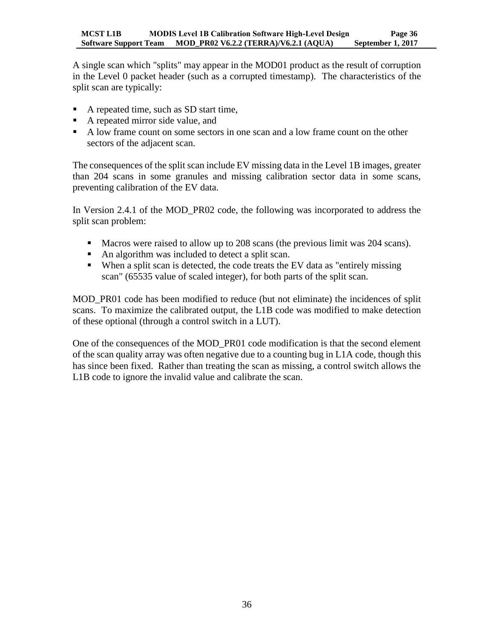A single scan which "splits" may appear in the MOD01 product as the result of corruption in the Level 0 packet header (such as a corrupted timestamp). The characteristics of the split scan are typically:

- A repeated time, such as SD start time,
- A repeated mirror side value, and
- A low frame count on some sectors in one scan and a low frame count on the other sectors of the adjacent scan.

The consequences of the split scan include EV missing data in the Level 1B images, greater than 204 scans in some granules and missing calibration sector data in some scans, preventing calibration of the EV data.

In Version 2.4.1 of the MOD\_PR02 code, the following was incorporated to address the split scan problem:

- Macros were raised to allow up to 208 scans (the previous limit was 204 scans).
- An algorithm was included to detect a split scan.
- When a split scan is detected, the code treats the EV data as "entirely missing scan" (65535 value of scaled integer), for both parts of the split scan.

MOD PR01 code has been modified to reduce (but not eliminate) the incidences of split scans. To maximize the calibrated output, the L1B code was modified to make detection of these optional (through a control switch in a LUT).

One of the consequences of the MOD\_PR01 code modification is that the second element of the scan quality array was often negative due to a counting bug in L1A code, though this has since been fixed. Rather than treating the scan as missing, a control switch allows the L1B code to ignore the invalid value and calibrate the scan.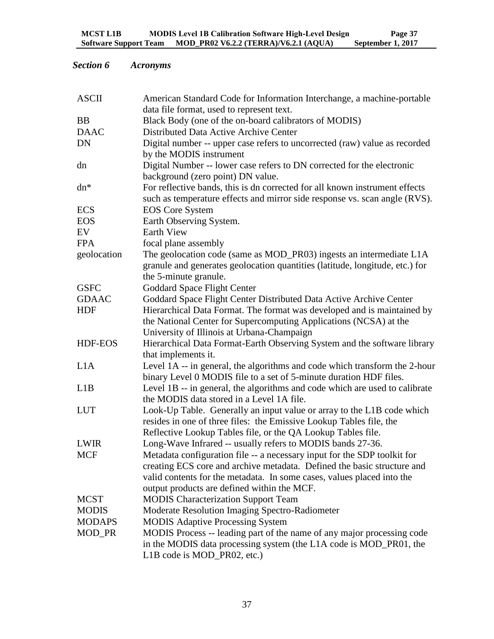# <span id="page-40-0"></span>*Section 6 Acronyms*

| <b>ASCII</b>   | American Standard Code for Information Interchange, a machine-portable       |  |  |  |
|----------------|------------------------------------------------------------------------------|--|--|--|
|                | data file format, used to represent text.                                    |  |  |  |
| <b>BB</b>      | Black Body (one of the on-board calibrators of MODIS)                        |  |  |  |
| <b>DAAC</b>    | Distributed Data Active Archive Center                                       |  |  |  |
| <b>DN</b>      | Digital number -- upper case refers to uncorrected (raw) value as recorded   |  |  |  |
|                | by the MODIS instrument                                                      |  |  |  |
| dn             | Digital Number -- lower case refers to DN corrected for the electronic       |  |  |  |
|                | background (zero point) DN value.                                            |  |  |  |
| $dn*$          | For reflective bands, this is dn corrected for all known instrument effects  |  |  |  |
|                | such as temperature effects and mirror side response vs. scan angle (RVS).   |  |  |  |
| <b>ECS</b>     | <b>EOS</b> Core System                                                       |  |  |  |
| <b>EOS</b>     | Earth Observing System.                                                      |  |  |  |
| EV             | <b>Earth View</b>                                                            |  |  |  |
| <b>FPA</b>     | focal plane assembly                                                         |  |  |  |
| geolocation    | The geolocation code (same as MOD_PR03) ingests an intermediate L1A          |  |  |  |
|                | granule and generates geolocation quantities (latitude, longitude, etc.) for |  |  |  |
|                | the 5-minute granule.                                                        |  |  |  |
| <b>GSFC</b>    | <b>Goddard Space Flight Center</b>                                           |  |  |  |
| <b>GDAAC</b>   | Goddard Space Flight Center Distributed Data Active Archive Center           |  |  |  |
| <b>HDF</b>     | Hierarchical Data Format. The format was developed and is maintained by      |  |  |  |
|                | the National Center for Supercomputing Applications (NCSA) at the            |  |  |  |
|                | University of Illinois at Urbana-Champaign                                   |  |  |  |
| <b>HDF-EOS</b> | Hierarchical Data Format-Earth Observing System and the software library     |  |  |  |
|                | that implements it.                                                          |  |  |  |
| L1A            | Level 1A -- in general, the algorithms and code which transform the 2-hour   |  |  |  |
|                | binary Level 0 MODIS file to a set of 5-minute duration HDF files.           |  |  |  |
| L1B            | Level 1B -- in general, the algorithms and code which are used to calibrate  |  |  |  |
|                | the MODIS data stored in a Level 1A file.                                    |  |  |  |
| <b>LUT</b>     | Look-Up Table. Generally an input value or array to the L1B code which       |  |  |  |
|                | resides in one of three files: the Emissive Lookup Tables file, the          |  |  |  |
|                | Reflective Lookup Tables file, or the QA Lookup Tables file.                 |  |  |  |
| <b>LWIR</b>    | Long-Wave Infrared -- usually refers to MODIS bands 27-36.                   |  |  |  |
| <b>MCF</b>     | Metadata configuration file -- a necessary input for the SDP toolkit for     |  |  |  |
|                | creating ECS core and archive metadata. Defined the basic structure and      |  |  |  |
|                | valid contents for the metadata. In some cases, values placed into the       |  |  |  |
|                | output products are defined within the MCF.                                  |  |  |  |
| <b>MCST</b>    | <b>MODIS</b> Characterization Support Team                                   |  |  |  |
| <b>MODIS</b>   | Moderate Resolution Imaging Spectro-Radiometer                               |  |  |  |
|                |                                                                              |  |  |  |
| <b>MODAPS</b>  | <b>MODIS Adaptive Processing System</b>                                      |  |  |  |
| MOD_PR         | MODIS Process -- leading part of the name of any major processing code       |  |  |  |
|                | in the MODIS data processing system (the L1A code is MOD_PR01, the           |  |  |  |
|                | L1B code is MOD_PR02, etc.)                                                  |  |  |  |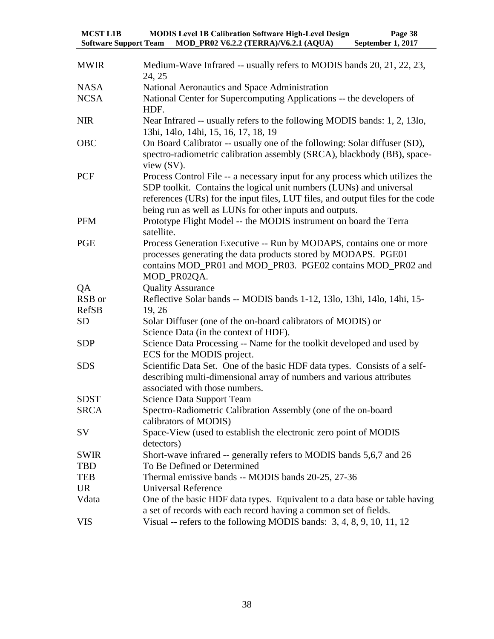| <b>MCST L1B</b>              |  | <b>MODIS Level 1B Calibration Software High-Level Design</b> | Page 38           |
|------------------------------|--|--------------------------------------------------------------|-------------------|
| <b>Software Support Team</b> |  | MOD_PR02 V6.2.2 (TERRA)/V6.2.1 (AQUA)                        | September 1, 2017 |

| <b>MWIR</b>  | Medium-Wave Infrared -- usually refers to MODIS bands 20, 21, 22, 23,<br>24, 25                                                                                                                                                                                                                  |
|--------------|--------------------------------------------------------------------------------------------------------------------------------------------------------------------------------------------------------------------------------------------------------------------------------------------------|
| <b>NASA</b>  | National Aeronautics and Space Administration                                                                                                                                                                                                                                                    |
| <b>NCSA</b>  | National Center for Supercomputing Applications -- the developers of<br>HDF.                                                                                                                                                                                                                     |
| <b>NIR</b>   | Near Infrared -- usually refers to the following MODIS bands: 1, 2, 13lo,<br>13hi, 14lo, 14hi, 15, 16, 17, 18, 19                                                                                                                                                                                |
| OBC          | On Board Calibrator -- usually one of the following: Solar diffuser (SD),<br>spectro-radiometric calibration assembly (SRCA), blackbody (BB), space-<br>view (SV).                                                                                                                               |
| PCF          | Process Control File -- a necessary input for any process which utilizes the<br>SDP toolkit. Contains the logical unit numbers (LUNs) and universal<br>references (URs) for the input files, LUT files, and output files for the code<br>being run as well as LUNs for other inputs and outputs. |
| <b>PFM</b>   | Prototype Flight Model -- the MODIS instrument on board the Terra<br>satellite.                                                                                                                                                                                                                  |
| PGE          | Process Generation Executive -- Run by MODAPS, contains one or more<br>processes generating the data products stored by MODAPS. PGE01<br>contains MOD_PR01 and MOD_PR03. PGE02 contains MOD_PR02 and<br>MOD_PR02QA.                                                                              |
| QA           | <b>Quality Assurance</b>                                                                                                                                                                                                                                                                         |
| RSB or       | Reflective Solar bands -- MODIS bands 1-12, 13lo, 13hi, 14lo, 14hi, 15-                                                                                                                                                                                                                          |
| <b>RefSB</b> | 19, 26                                                                                                                                                                                                                                                                                           |
| <b>SD</b>    | Solar Diffuser (one of the on-board calibrators of MODIS) or<br>Science Data (in the context of HDF).                                                                                                                                                                                            |
| <b>SDP</b>   | Science Data Processing -- Name for the toolkit developed and used by<br>ECS for the MODIS project.                                                                                                                                                                                              |
| <b>SDS</b>   | Scientific Data Set. One of the basic HDF data types. Consists of a self-<br>describing multi-dimensional array of numbers and various attributes<br>associated with those numbers.                                                                                                              |
| <b>SDST</b>  | <b>Science Data Support Team</b>                                                                                                                                                                                                                                                                 |
| <b>SRCA</b>  | Spectro-Radiometric Calibration Assembly (one of the on-board<br>calibrators of MODIS)                                                                                                                                                                                                           |
| <b>SV</b>    | Space-View (used to establish the electronic zero point of MODIS<br>detectors)                                                                                                                                                                                                                   |
| <b>SWIR</b>  | Short-wave infrared -- generally refers to MODIS bands 5,6,7 and 26                                                                                                                                                                                                                              |
| TBD          | To Be Defined or Determined                                                                                                                                                                                                                                                                      |
| <b>TEB</b>   | Thermal emissive bands -- MODIS bands 20-25, 27-36                                                                                                                                                                                                                                               |
| <b>UR</b>    | <b>Universal Reference</b>                                                                                                                                                                                                                                                                       |
| Vdata        | One of the basic HDF data types. Equivalent to a data base or table having<br>a set of records with each record having a common set of fields.                                                                                                                                                   |
| <b>VIS</b>   | Visual -- refers to the following MODIS bands: $3, 4, 8, 9, 10, 11, 12$                                                                                                                                                                                                                          |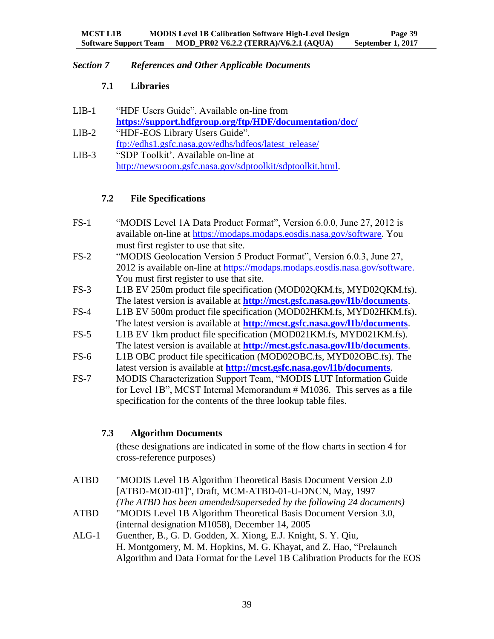# <span id="page-42-1"></span><span id="page-42-0"></span>*Section 7 References and Other Applicable Documents*

# **7.1 Libraries**

| $LIB-1$ | "HDF Users Guide". Available on-line from                 |
|---------|-----------------------------------------------------------|
|         | https://support.hdfgroup.org/ftp/HDF/documentation/doc/   |
| $LIB-2$ | "HDF-EOS Library Users Guide".                            |
|         | ftp://edhs1.gsfc.nasa.gov/edhs/hdfeos/latest_release/     |
| $LIB-3$ | "SDP Toolkit'. Available on-line at                       |
|         | http://newsroom.gsfc.nasa.gov/sdptoolkit/sdptoolkit.html. |

# <span id="page-42-2"></span>**7.2 File Specifications**

- FS-1 "MODIS Level 1A Data Product Format", Version 6.0.0, June 27, 2012 is available on-line at [https://modaps.modaps.eosdis.nasa.gov/software.](https://modaps.modaps.eosdis.nasa.gov/software) You must first register to use that site.
- FS-2 "MODIS Geolocation Version 5 Product Format", Version 6.0.3, June 27, 2012 is available on-line at [https://modaps.modaps.eosdis.nasa.gov/software.](https://modaps.modaps.eosdis.nasa.gov/software) You must first register to use that site.
- FS-3 L1B EV 250m product file specification (MOD02QKM.fs, MYD02QKM.fs). The latest version is available at **<http://mcst.gsfc.nasa.gov/l1b/documents>**.
- FS-4 L1B EV 500m product file specification (MOD02HKM.fs, MYD02HKM.fs). The latest version is available at **<http://mcst.gsfc.nasa.gov/l1b/documents>**.
- FS-5 L1B EV 1km product file specification (MOD021KM.fs, MYD021KM.fs). The latest version is available at **<http://mcst.gsfc.nasa.gov/l1b/documents>**.
- FS-6 L1B OBC product file specification (MOD02OBC.fs, MYD02OBC.fs). The latest version is available at **<http://mcst.gsfc.nasa.gov/l1b/documents>**.
- FS-7 MODIS Characterization Support Team, "MODIS LUT Information Guide for Level 1B", MCST Internal Memorandum # M1036. This serves as a file specification for the contents of the three lookup table files.

# <span id="page-42-3"></span>**7.3 Algorithm Documents**

(these designations are indicated in some of the flow charts in section 4 for cross-reference purposes)

- ATBD "MODIS Level 1B Algorithm Theoretical Basis Document Version 2.0 [ATBD-MOD-01]", Draft, MCM-ATBD-01-U-DNCN, May, 1997 *(The ATBD has been amended/superseded by the following 24 documents)*
- ATBD "MODIS Level 1B Algorithm Theoretical Basis Document Version 3.0, (internal designation M1058), December 14, 2005
- ALG-1 Guenther, B., G. D. Godden, X. Xiong, E.J. Knight, S. Y. Qiu, H. Montgomery, M. M. Hopkins, M. G. Khayat, and Z. Hao, "Prelaunch Algorithm and Data Format for the Level 1B Calibration Products for the EOS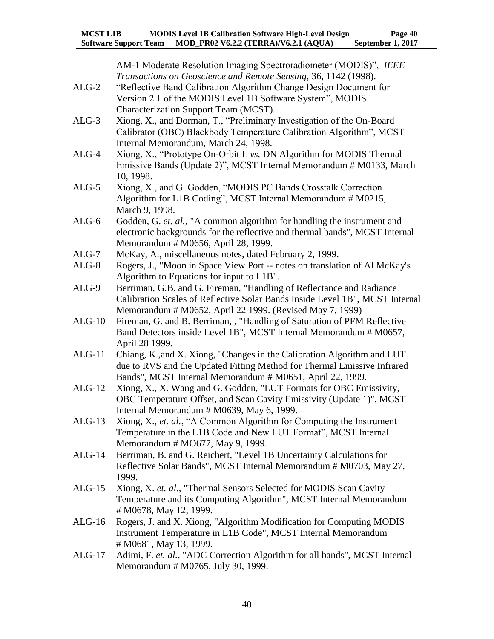AM-1 Moderate Resolution Imaging Spectroradiometer (MODIS)", *IEEE Transactions on Geoscience and Remote Sensing*, 36, 1142 (1998). ALG-2 "Reflective Band Calibration Algorithm Change Design Document for Version 2.1 of the MODIS Level 1B Software System", MODIS Characterization Support Team (MCST). ALG-3 Xiong, X., and Dorman, T., "Preliminary Investigation of the On-Board Calibrator (OBC) Blackbody Temperature Calibration Algorithm", MCST Internal Memorandum, March 24, 1998. ALG-4 Xiong, X., "Prototype On-Orbit L *vs.* DN Algorithm for MODIS Thermal Emissive Bands (Update 2)", MCST Internal Memorandum # M0133, March 10, 1998. ALG-5 Xiong, X., and G. Godden, "MODIS PC Bands Crosstalk Correction Algorithm for L1B Coding", MCST Internal Memorandum # M0215, March 9, 1998. ALG-6 Godden, G. *et. al.*, "A common algorithm for handling the instrument and electronic backgrounds for the reflective and thermal bands", MCST Internal Memorandum # M0656, April 28, 1999. ALG-7 McKay, A., miscellaneous notes, dated February 2, 1999. ALG-8 Rogers, J., "Moon in Space View Port -- notes on translation of Al McKay's Algorithm to Equations for input to L1B". ALG-9 Berriman, G.B. and G. Fireman, "Handling of Reflectance and Radiance Calibration Scales of Reflective Solar Bands Inside Level 1B", MCST Internal Memorandum # M0652, April 22 1999. (Revised May 7, 1999) ALG-10 Fireman, G. and B. Berriman, , "Handling of Saturation of PFM Reflective Band Detectors inside Level 1B", MCST Internal Memorandum # M0657, April 28 1999. ALG-11 Chiang, K.,and X. Xiong, "Changes in the Calibration Algorithm and LUT due to RVS and the Updated Fitting Method for Thermal Emissive Infrared Bands", MCST Internal Memorandum # M0651, April 22, 1999. ALG-12 Xiong, X., X. Wang and G. Godden, "LUT Formats for OBC Emissivity, OBC Temperature Offset, and Scan Cavity Emissivity (Update 1)", MCST Internal Memorandum # M0639, May 6, 1999. ALG-13 Xiong, X., *et. al.*, "A Common Algorithm for Computing the Instrument Temperature in the L1B Code and New LUT Format", MCST Internal Memorandum # MO677, May 9, 1999. ALG-14 Berriman, B. and G. Reichert, "Level 1B Uncertainty Calculations for Reflective Solar Bands", MCST Internal Memorandum # M0703, May 27, 1999. ALG-15 Xiong, X. *et. al.*, "Thermal Sensors Selected for MODIS Scan Cavity Temperature and its Computing Algorithm", MCST Internal Memorandum # M0678, May 12, 1999. ALG-16 Rogers, J. and X. Xiong, "Algorithm Modification for Computing MODIS Instrument Temperature in L1B Code", MCST Internal Memorandum # M0681, May 13, 1999. ALG-17 Adimi, F. *et. al.*, "ADC Correction Algorithm for all bands", MCST Internal Memorandum # M0765, July 30, 1999.